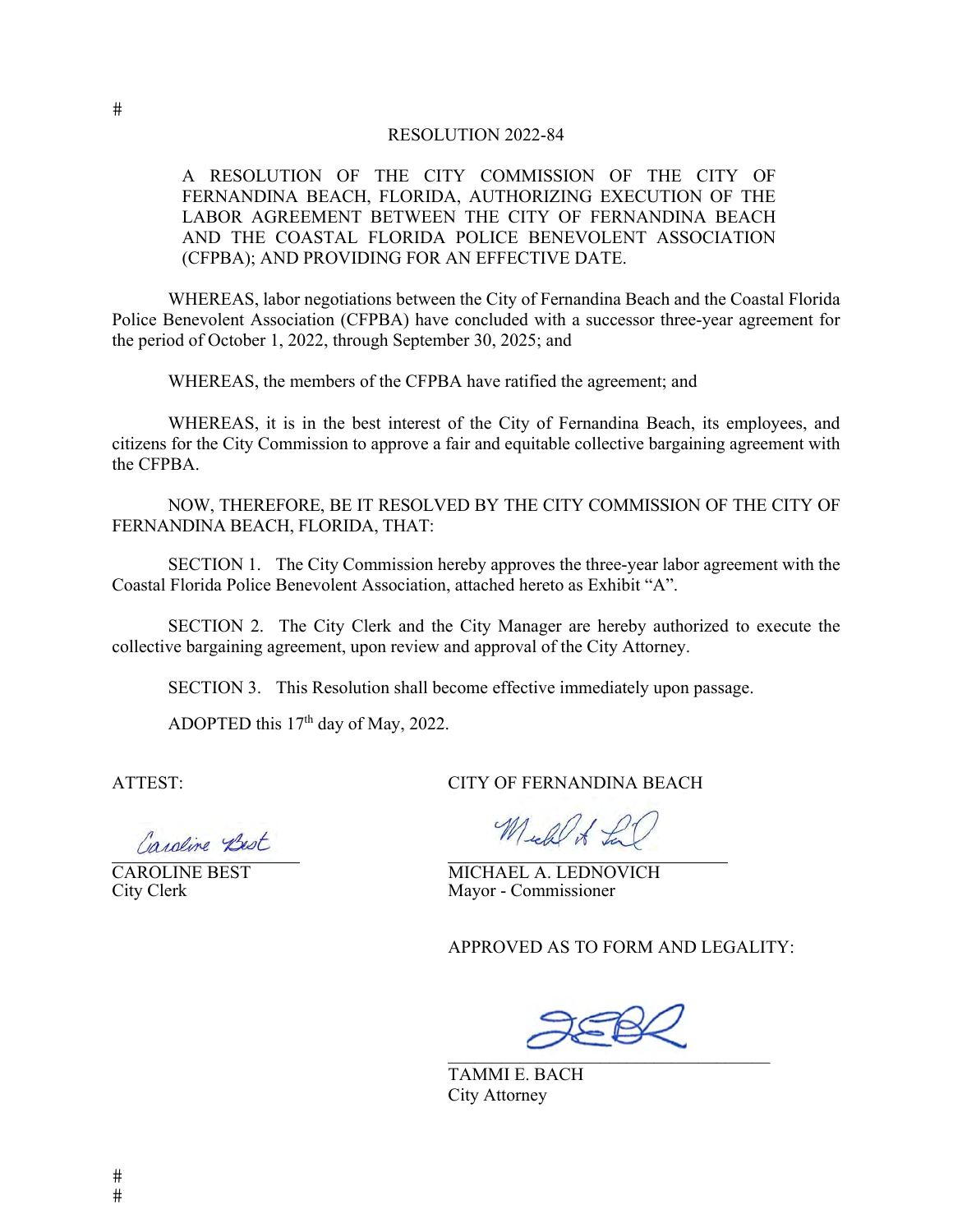#### RESOLUTION 2022-84

A RESOLUTION OF THE CITY COMMISSION OF THE CITY OF FERNANDINA BEACH, FLORIDA, AUTHORIZING EXECUTION OF THE LABOR AGREEMENT BETWEEN THE CITY OF FERNANDINA BEACH AND THE COASTAL FLORIDA POLICE BENEVOLENT ASSOCIATION (CFPBA); AND PROVIDING FOR AN EFFECTIVE DATE.

WHEREAS, labor negotiations between the City of Fernandina Beach and the Coastal Florida Police Benevolent Association (CFPBA) have concluded with a successor three-year agreement for the period of October 1, 2022, through September 30, 2025; and

WHEREAS, the members of the CFPBA have ratified the agreement; and

WHEREAS, it is in the best interest of the City of Fernandina Beach, its employees, and citizens for the City Commission to approve a fair and equitable collective bargaining agreement with the CFPBA.

NOW, THEREFORE, BE IT RESOLVED BY THE CITY COMMISSION OF THE CITY OF FERNANDINA BEACH, FLORIDA, THAT:

SECTION 1. The City Commission hereby approves the three-year labor agreement with the Coastal Florida Police Benevolent Association, attached hereto as Exhibit "A".

SECTION 2. The City Clerk and the City Manager are hereby authorized to execute the collective bargaining agreement, upon review and approval of the City Attorney.

SECTION 3. This Resolution shall become effective immediately upon passage.

ADOPTED this  $17<sup>th</sup>$  day of May, 2022.

ATTEST: CITY OF FERNANDINA BEACH

Caroline Best

Mich of La

CAROLINE BEST<br>
City Clerk<br>
City Clerk<br>
Mayor - Commissioner Mayor - Commissioner

APPROVED AS TO FORM AND LEGALITY:

 $\mathcal{L}=\mathcal{L}=\mathcal{L}=\mathcal{L}=\mathcal{L}=\mathcal{L}=\mathcal{L}=\mathcal{L}=\mathcal{L}=\mathcal{L}=\mathcal{L}=\mathcal{L}=\mathcal{L}=\mathcal{L}=\mathcal{L}=\mathcal{L}=\mathcal{L}=\mathcal{L}=\mathcal{L}=\mathcal{L}=\mathcal{L}=\mathcal{L}=\mathcal{L}=\mathcal{L}=\mathcal{L}=\mathcal{L}=\mathcal{L}=\mathcal{L}=\mathcal{L}=\mathcal{L}=\mathcal{L}=\mathcal{L}=\mathcal{L}=\mathcal{L}=\mathcal{L}=\mathcal{L}=\mathcal{$ 

TAMMI E. BACH City Attorney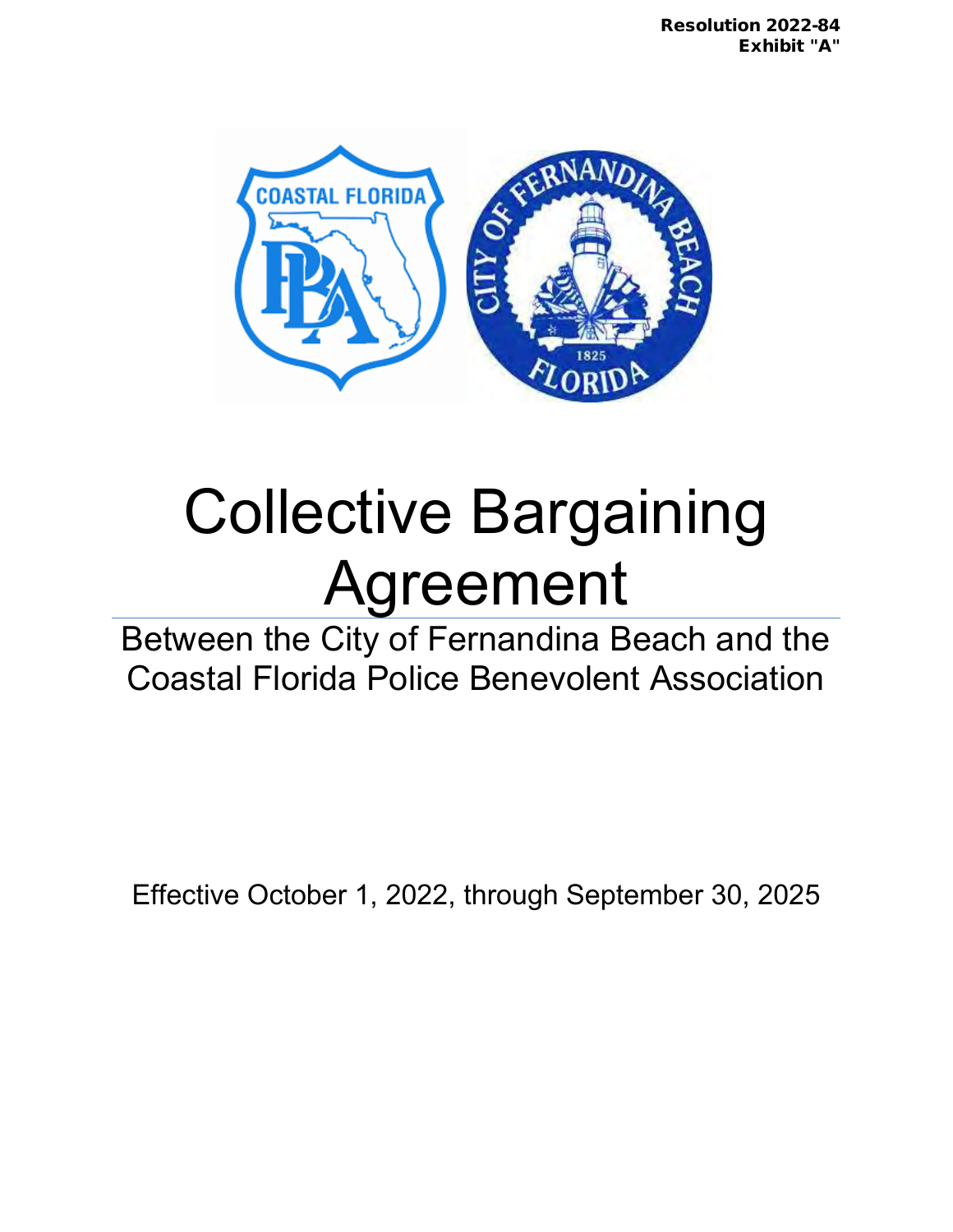

# Collective Bargaining Agreement

Between the City of Fernandina Beach and the Coastal Florida Police Benevolent Association

Effective October 1, 2022, through September 30, 2025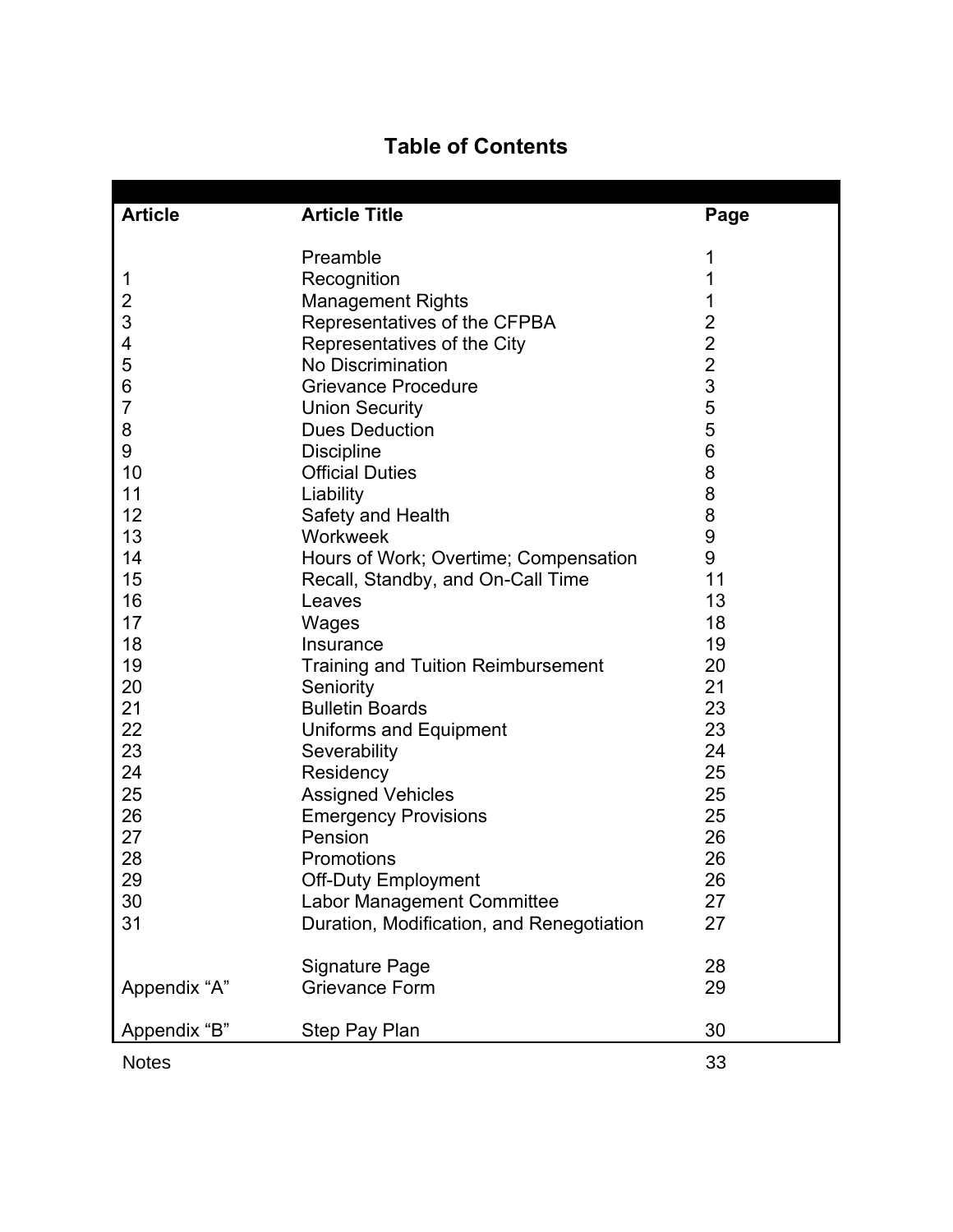# **Table of Contents**

| <b>Article</b> | <b>Article Title</b>                      | Page                                       |
|----------------|-------------------------------------------|--------------------------------------------|
|                | Preamble                                  | 1                                          |
| $\mathbf 1$    | Recognition                               | 1                                          |
| $\overline{c}$ | <b>Management Rights</b>                  |                                            |
| 3              | Representatives of the CFPBA              | $\overline{\mathbf{c}}$                    |
| 4              | Representatives of the City               |                                            |
| 5              | No Discrimination                         | $\begin{array}{c} 2 \\ 2 \\ 3 \end{array}$ |
| 6              | <b>Grievance Procedure</b>                |                                            |
| $\overline{7}$ | <b>Union Security</b>                     | 5                                          |
| 8              | <b>Dues Deduction</b>                     | 5                                          |
| 9              | <b>Discipline</b>                         | 6                                          |
| 10             | <b>Official Duties</b>                    | 8                                          |
| 11             | Liability                                 | 8                                          |
| 12             | Safety and Health                         | 8                                          |
| 13             | Workweek                                  | $\boldsymbol{9}$                           |
| 14             | Hours of Work; Overtime; Compensation     | 9                                          |
| 15             | Recall, Standby, and On-Call Time         | 11                                         |
| 16             | Leaves                                    | 13                                         |
| 17             | Wages                                     | 18                                         |
| 18             | Insurance                                 | 19                                         |
| 19             | <b>Training and Tuition Reimbursement</b> | 20                                         |
| 20             | Seniority                                 | 21                                         |
| 21             | <b>Bulletin Boards</b>                    | 23                                         |
| 22             | <b>Uniforms and Equipment</b>             | 23                                         |
| 23             | Severability                              | 24                                         |
| 24             | Residency                                 | 25                                         |
| 25             | <b>Assigned Vehicles</b>                  | 25                                         |
| 26             | <b>Emergency Provisions</b>               | 25                                         |
| 27             | Pension                                   | 26                                         |
| 28             | Promotions                                | 26                                         |
| 29             | <b>Off-Duty Employment</b>                | 26                                         |
| 30             | Labor Management Committee                | 27                                         |
| 31             | Duration, Modification, and Renegotiation | 27                                         |
|                | <b>Signature Page</b>                     | 28                                         |
| Appendix "A"   | <b>Grievance Form</b>                     | 29                                         |
| Appendix "B"   | Step Pay Plan                             | 30                                         |
| <b>Notes</b>   |                                           | 33                                         |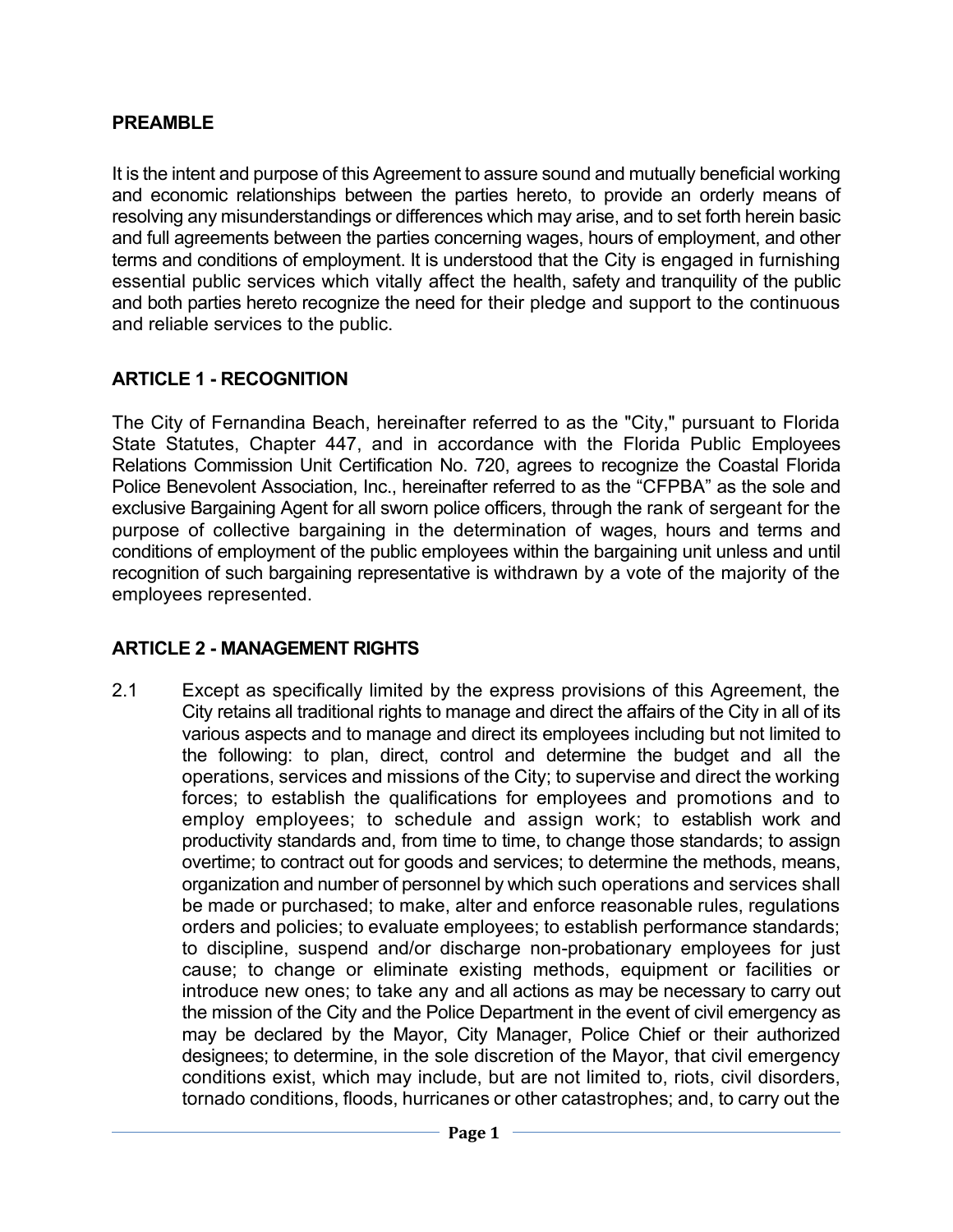#### **PREAMBLE**

It is the intent and purpose of this Agreement to assure sound and mutually beneficial working and economic relationships between the parties hereto, to provide an orderly means of resolving any misunderstandings or differences which may arise, and to set forth herein basic and full agreements between the parties concerning wages, hours of employment, and other terms and conditions of employment. It is understood that the City is engaged in furnishing essential public services which vitally affect the health, safety and tranquility of the public and both parties hereto recognize the need for their pledge and support to the continuous and reliable services to the public.

#### **ARTICLE 1 - RECOGNITION**

The City of Fernandina Beach, hereinafter referred to as the "City," pursuant to Florida State Statutes, Chapter 447, and in accordance with the Florida Public Employees Relations Commission Unit Certification No. 720, agrees to recognize the Coastal Florida Police Benevolent Association, Inc., hereinafter referred to as the "CFPBA" as the sole and exclusive Bargaining Agent for all sworn police officers, through the rank of sergeant for the purpose of collective bargaining in the determination of wages, hours and terms and conditions of employment of the public employees within the bargaining unit unless and until recognition of such bargaining representative is withdrawn by a vote of the majority of the employees represented.

#### **ARTICLE 2 - MANAGEMENT RIGHTS**

2.1 Except as specifically limited by the express provisions of this Agreement, the City retains all traditional rights to manage and direct the affairs of the City in all of its various aspects and to manage and direct its employees including but not limited to the following: to plan, direct, control and determine the budget and all the operations, services and missions of the City; to supervise and direct the working forces; to establish the qualifications for employees and promotions and to employ employees; to schedule and assign work; to establish work and productivity standards and, from time to time, to change those standards; to assign overtime; to contract out for goods and services; to determine the methods, means, organization and number of personnel by which such operations and services shall be made or purchased; to make, alter and enforce reasonable rules, regulations orders and policies; to evaluate employees; to establish performance standards; to discipline, suspend and/or discharge non-probationary employees for just cause; to change or eliminate existing methods, equipment or facilities or introduce new ones; to take any and all actions as may be necessary to carry out the mission of the City and the Police Department in the event of civil emergency as may be declared by the Mayor, City Manager, Police Chief or their authorized designees; to determine, in the sole discretion of the Mayor, that civil emergency conditions exist, which may include, but are not limited to, riots, civil disorders, tornado conditions, floods, hurricanes or other catastrophes; and, to carry out the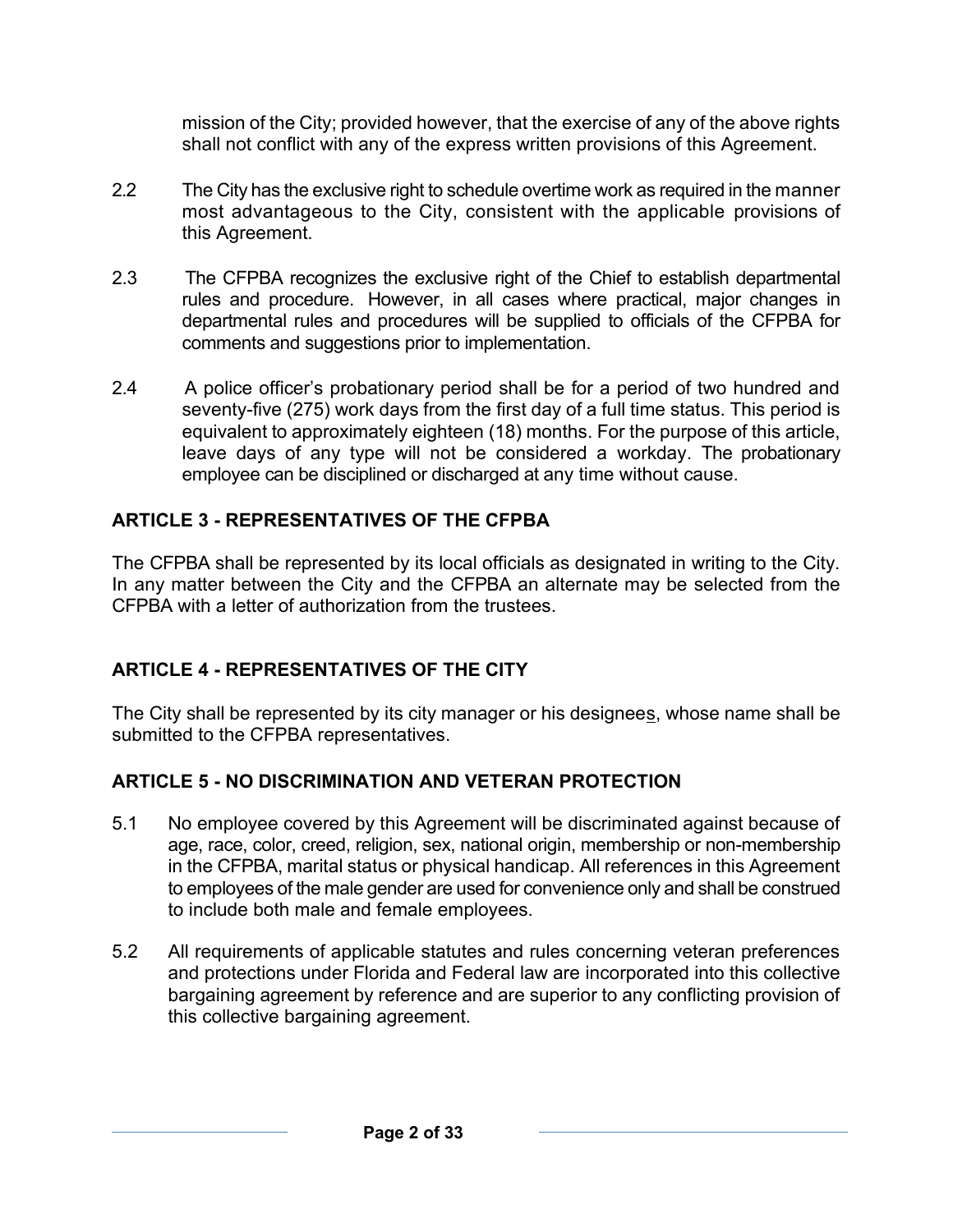mission of the City; provided however, that the exercise of any of the above rights shall not conflict with any of the express written provisions of this Agreement.

- 2.2 The City has the exclusive right to schedule overtime work as required in the manner most advantageous to the City, consistent with the applicable provisions of this Agreement.
- 2.3 The CFPBA recognizes the exclusive right of the Chief to establish departmental rules and procedure. However, in all cases where practical, major changes in departmental rules and procedures will be supplied to officials of the CFPBA for comments and suggestions prior to implementation.
- 2.4 A police officer's probationary period shall be for a period of two hundred and seventy-five (275) work days from the first day of a full time status. This period is equivalent to approximately eighteen (18) months. For the purpose of this article, leave days of any type will not be considered a workday. The probationary employee can be disciplined or discharged at any time without cause.

## **ARTICLE 3 - REPRESENTATIVES OF THE CFPBA**

The CFPBA shall be represented by its local officials as designated in writing to the City. In any matter between the City and the CFPBA an alternate may be selected from the CFPBA with a letter of authorization from the trustees.

# **ARTICLE 4 - REPRESENTATIVES OF THE CITY**

The City shall be represented by its city manager or his designees, whose name shall be submitted to the CFPBA representatives.

## **ARTICLE 5 - NO DISCRIMINATION AND VETERAN PROTECTION**

- 5.1 No employee covered by this Agreement will be discriminated against because of age, race, color, creed, religion, sex, national origin, membership or non-membership in the CFPBA, marital status or physical handicap. All references in this Agreement to employees of the male gender are used for convenience only and shall be construed to include both male and female employees.
- 5.2 All requirements of applicable statutes and rules concerning veteran preferences and protections under Florida and Federal law are incorporated into this collective bargaining agreement by reference and are superior to any conflicting provision of this collective bargaining agreement.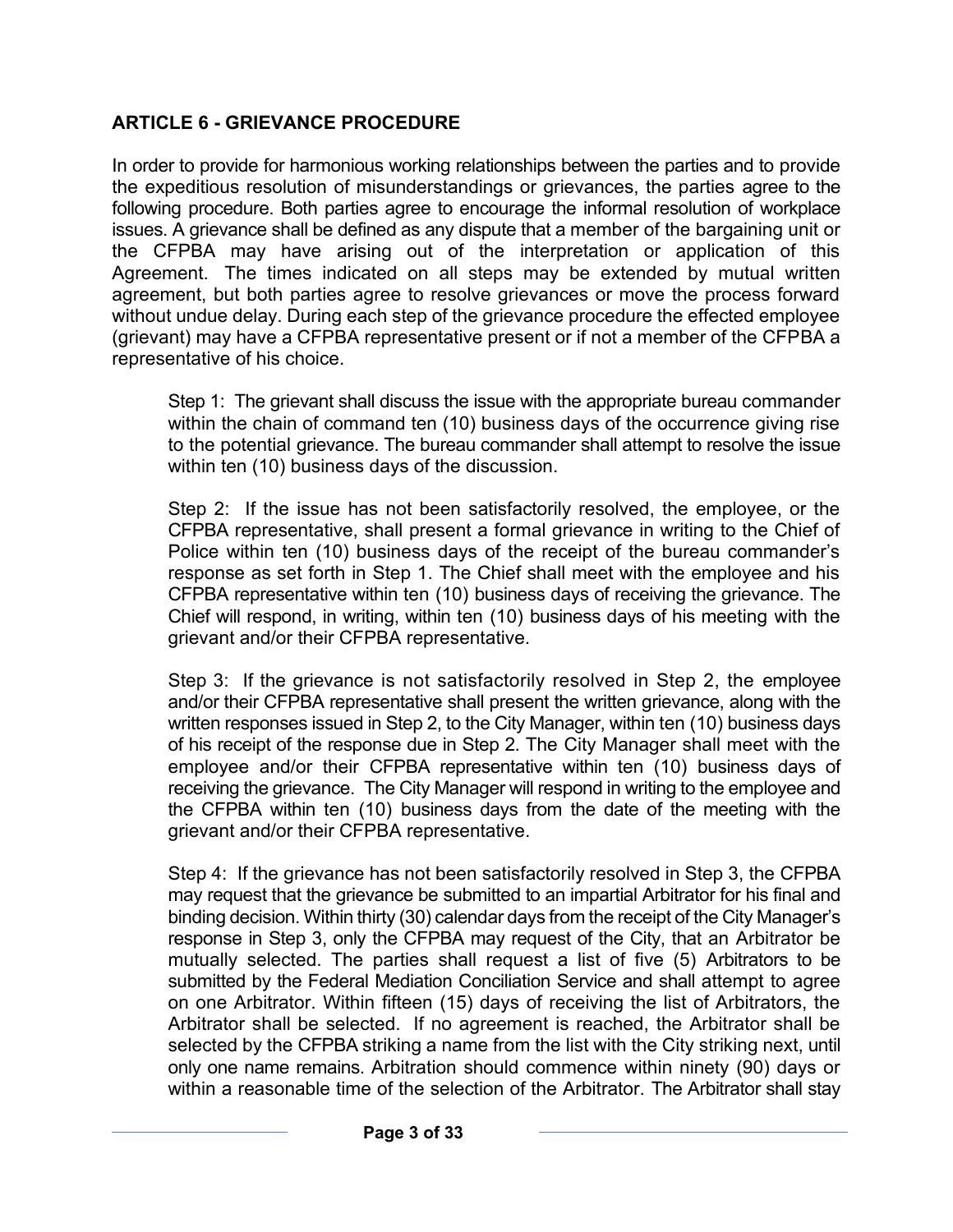## **ARTICLE 6 - GRIEVANCE PROCEDURE**

In order to provide for harmonious working relationships between the parties and to provide the expeditious resolution of misunderstandings or grievances, the parties agree to the following procedure. Both parties agree to encourage the informal resolution of workplace issues. A grievance shall be defined as any dispute that a member of the bargaining unit or the CFPBA may have arising out of the interpretation or application of this Agreement. The times indicated on all steps may be extended by mutual written agreement, but both parties agree to resolve grievances or move the process forward without undue delay. During each step of the grievance procedure the effected employee (grievant) may have a CFPBA representative present or if not a member of the CFPBA a representative of his choice.

Step 1: The grievant shall discuss the issue with the appropriate bureau commander within the chain of command ten (10) business days of the occurrence giving rise to the potential grievance. The bureau commander shall attempt to resolve the issue within ten (10) business days of the discussion.

Step 2: If the issue has not been satisfactorily resolved, the employee, or the CFPBA representative, shall present a formal grievance in writing to the Chief of Police within ten (10) business days of the receipt of the bureau commander's response as set forth in Step 1. The Chief shall meet with the employee and his CFPBA representative within ten (10) business days of receiving the grievance. The Chief will respond, in writing, within ten (10) business days of his meeting with the grievant and/or their CFPBA representative.

Step 3: If the grievance is not satisfactorily resolved in Step 2, the employee and/or their CFPBA representative shall present the written grievance, along with the written responses issued in Step 2, to the City Manager, within ten (10) business days of his receipt of the response due in Step 2. The City Manager shall meet with the employee and/or their CFPBA representative within ten (10) business days of receiving the grievance. The City Manager will respond in writing to the employee and the CFPBA within ten (10) business days from the date of the meeting with the grievant and/or their CFPBA representative.

Step 4: If the grievance has not been satisfactorily resolved in Step 3, the CFPBA may request that the grievance be submitted to an impartial Arbitrator for his final and binding decision. Within thirty (30) calendar days from the receipt of the City Manager's response in Step 3, only the CFPBA may request of the City, that an Arbitrator be mutually selected. The parties shall request a list of five (5) Arbitrators to be submitted by the Federal Mediation Conciliation Service and shall attempt to agree on one Arbitrator. Within fifteen (15) days of receiving the list of Arbitrators, the Arbitrator shall be selected. If no agreement is reached, the Arbitrator shall be selected by the CFPBA striking a name from the list with the City striking next, until only one name remains. Arbitration should commence within ninety (90) days or within a reasonable time of the selection of the Arbitrator. The Arbitrator shall stay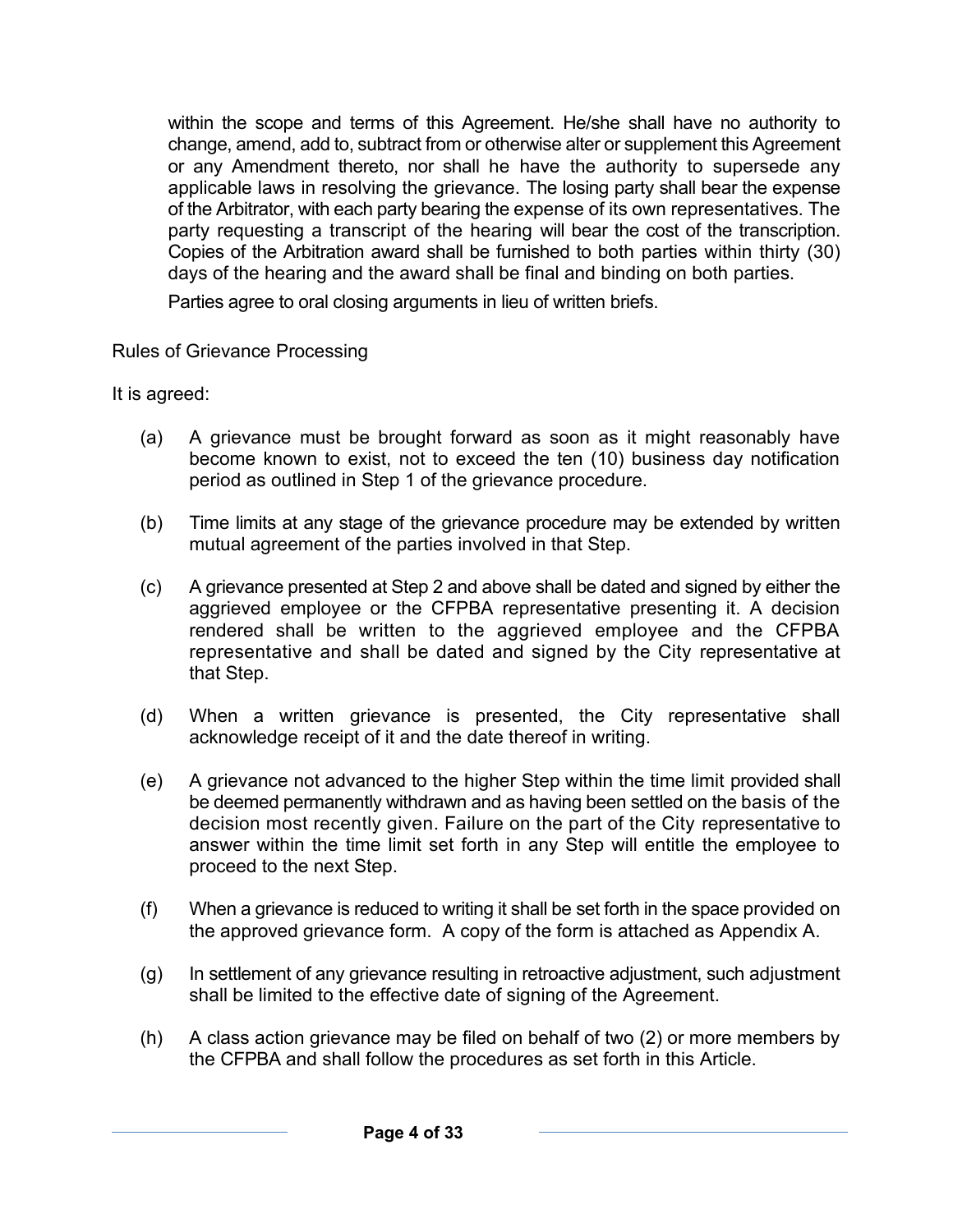within the scope and terms of this Agreement. He/she shall have no authority to change, amend, add to, subtract from or otherwise alter or supplement this Agreement or any Amendment thereto, nor shall he have the authority to supersede any applicable laws in resolving the grievance. The losing party shall bear the expense of the Arbitrator, with each party bearing the expense of its own representatives. The party requesting a transcript of the hearing will bear the cost of the transcription. Copies of the Arbitration award shall be furnished to both parties within thirty (30) days of the hearing and the award shall be final and binding on both parties.

Parties agree to oral closing arguments in lieu of written briefs.

Rules of Grievance Processing

It is agreed:

- (a) A grievance must be brought forward as soon as it might reasonably have become known to exist, not to exceed the ten (10) business day notification period as outlined in Step 1 of the grievance procedure.
- (b) Time limits at any stage of the grievance procedure may be extended by written mutual agreement of the parties involved in that Step.
- (c) A grievance presented at Step 2 and above shall be dated and signed by either the aggrieved employee or the CFPBA representative presenting it. A decision rendered shall be written to the aggrieved employee and the CFPBA representative and shall be dated and signed by the City representative at that Step.
- (d) When a written grievance is presented, the City representative shall acknowledge receipt of it and the date thereof in writing.
- (e) A grievance not advanced to the higher Step within the time limit provided shall be deemed permanently withdrawn and as having been settled on the basis of the decision most recently given. Failure on the part of the City representative to answer within the time limit set forth in any Step will entitle the employee to proceed to the next Step.
- (f) When a grievance is reduced to writing it shall be set forth in the space provided on the approved grievance form. A copy of the form is attached as Appendix A.
- (g) In settlement of any grievance resulting in retroactive adjustment, such adjustment shall be limited to the effective date of signing of the Agreement.
- (h) A class action grievance may be filed on behalf of two (2) or more members by the CFPBA and shall follow the procedures as set forth in this Article.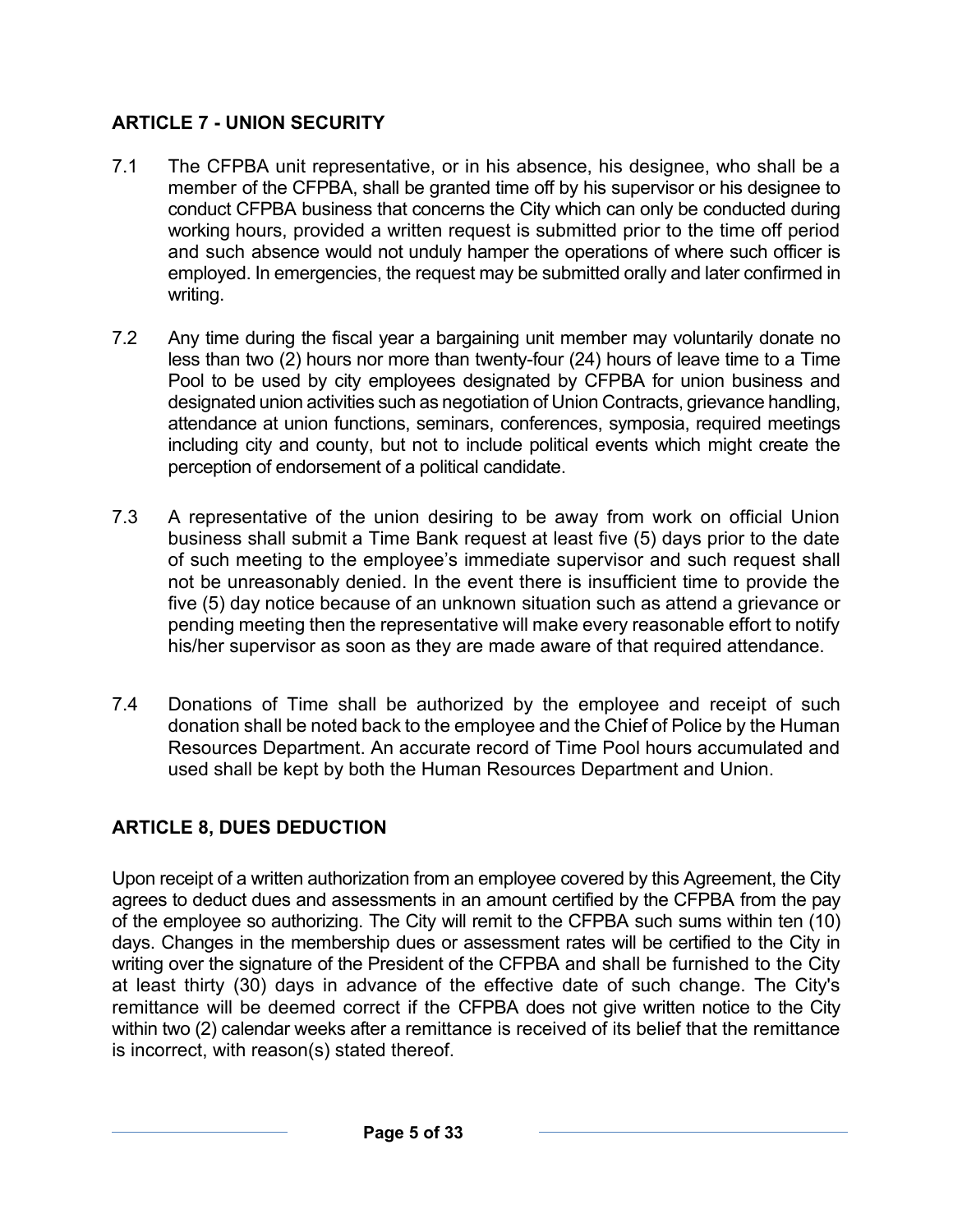## **ARTICLE 7 - UNION SECURITY**

- 7.1 The CFPBA unit representative, or in his absence, his designee, who shall be a member of the CFPBA, shall be granted time off by his supervisor or his designee to conduct CFPBA business that concerns the City which can only be conducted during working hours, provided a written request is submitted prior to the time off period and such absence would not unduly hamper the operations of where such officer is employed. In emergencies, the request may be submitted orally and later confirmed in writing.
- 7.2 Any time during the fiscal year a bargaining unit member may voluntarily donate no less than two (2) hours nor more than twenty-four (24) hours of leave time to a Time Pool to be used by city employees designated by CFPBA for union business and designated union activities such as negotiation of Union Contracts, grievance handling, attendance at union functions, seminars, conferences, symposia, required meetings including city and county, but not to include political events which might create the perception of endorsement of a political candidate.
- 7.3 A representative of the union desiring to be away from work on official Union business shall submit a Time Bank request at least five (5) days prior to the date of such meeting to the employee's immediate supervisor and such request shall not be unreasonably denied. In the event there is insufficient time to provide the five (5) day notice because of an unknown situation such as attend a grievance or pending meeting then the representative will make every reasonable effort to notify his/her supervisor as soon as they are made aware of that required attendance.
- 7.4 Donations of Time shall be authorized by the employee and receipt of such donation shall be noted back to the employee and the Chief of Police by the Human Resources Department. An accurate record of Time Pool hours accumulated and used shall be kept by both the Human Resources Department and Union.

# **ARTICLE 8, DUES DEDUCTION**

Upon receipt of a written authorization from an employee covered by this Agreement, the City agrees to deduct dues and assessments in an amount certified by the CFPBA from the pay of the employee so authorizing. The City will remit to the CFPBA such sums within ten (10) days. Changes in the membership dues or assessment rates will be certified to the City in writing over the signature of the President of the CFPBA and shall be furnished to the City at least thirty (30) days in advance of the effective date of such change. The City's remittance will be deemed correct if the CFPBA does not give written notice to the City within two (2) calendar weeks after a remittance is received of its belief that the remittance is incorrect, with reason(s) stated thereof.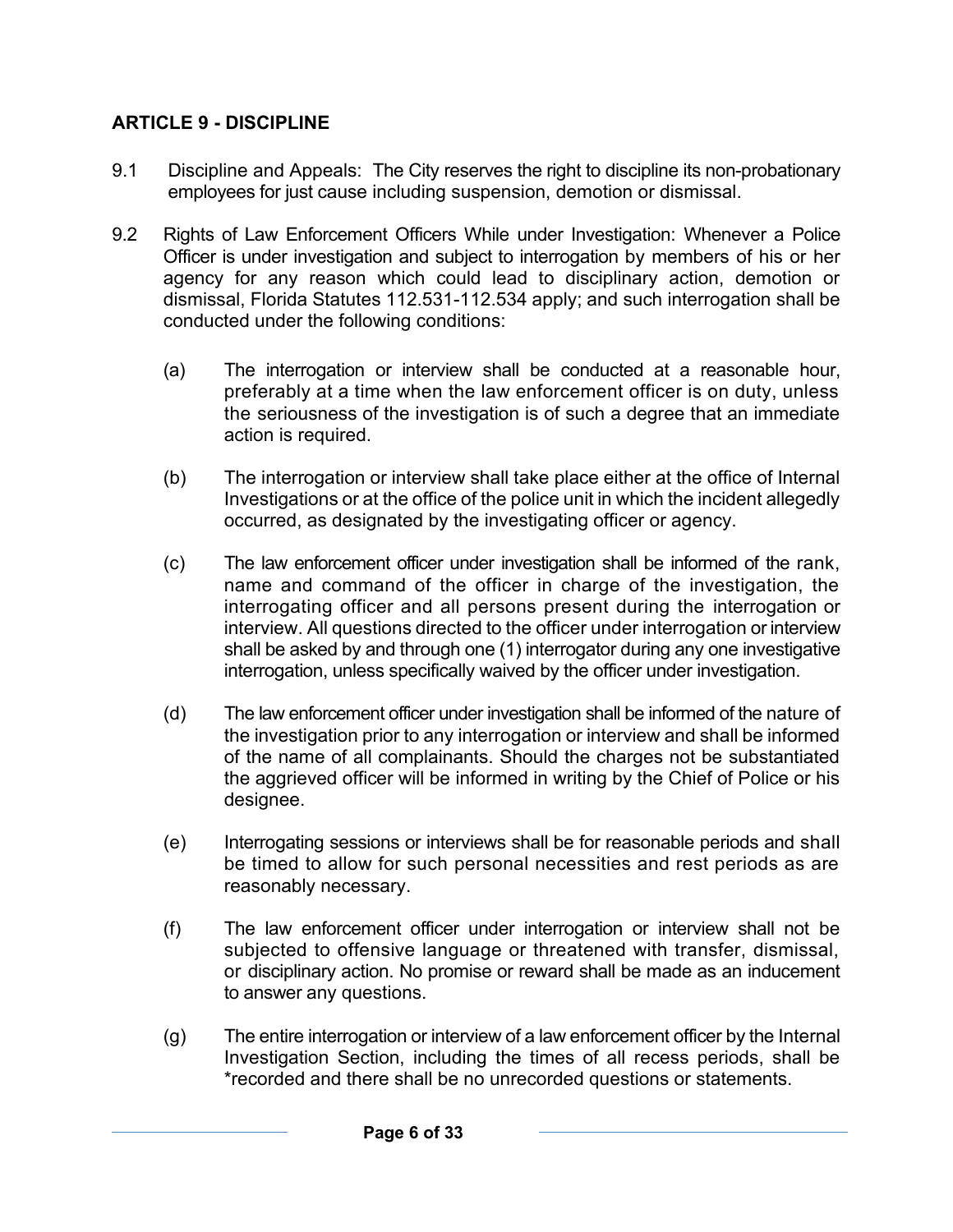## **ARTICLE 9 - DISCIPLINE**

- 9.1 Discipline and Appeals: The City reserves the right to discipline its non-probationary employees for just cause including suspension, demotion or dismissal.
- 9.2 Rights of Law Enforcement Officers While under Investigation: Whenever a Police Officer is under investigation and subject to interrogation by members of his or her agency for any reason which could lead to disciplinary action, demotion or dismissal, Florida Statutes 112.531-112.534 apply; and such interrogation shall be conducted under the following conditions:
	- (a) The interrogation or interview shall be conducted at a reasonable hour, preferably at a time when the law enforcement officer is on duty, unless the seriousness of the investigation is of such a degree that an immediate action is required.
	- (b) The interrogation or interview shall take place either at the office of Internal Investigations or at the office of the police unit in which the incident allegedly occurred, as designated by the investigating officer or agency.
	- (c) The law enforcement officer under investigation shall be informed of the rank, name and command of the officer in charge of the investigation, the interrogating officer and all persons present during the interrogation or interview. All questions directed to the officer under interrogation or interview shall be asked by and through one (1) interrogator during any one investigative interrogation, unless specifically waived by the officer under investigation.
	- (d) The law enforcement officer under investigation shall be informed of the nature of the investigation prior to any interrogation or interview and shall be informed of the name of all complainants. Should the charges not be substantiated the aggrieved officer will be informed in writing by the Chief of Police or his designee.
	- (e) Interrogating sessions or interviews shall be for reasonable periods and shall be timed to allow for such personal necessities and rest periods as are reasonably necessary.
	- (f) The law enforcement officer under interrogation or interview shall not be subjected to offensive language or threatened with transfer, dismissal, or disciplinary action. No promise or reward shall be made as an inducement to answer any questions.
	- (g) The entire interrogation or interview of a law enforcement officer by the Internal Investigation Section, including the times of all recess periods, shall be \*recorded and there shall be no unrecorded questions or statements.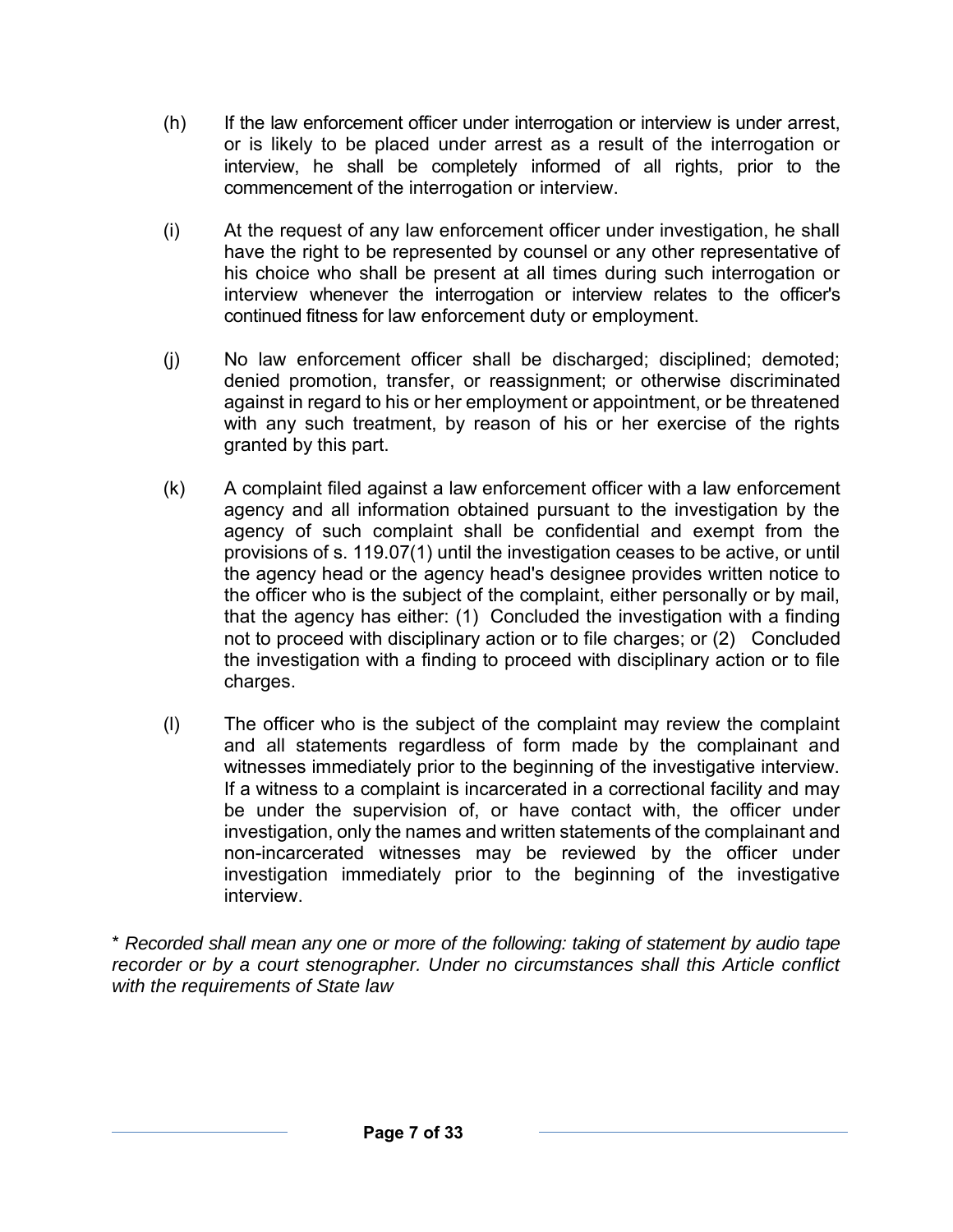- (h) If the law enforcement officer under interrogation or interview is under arrest, or is likely to be placed under arrest as a result of the interrogation or interview, he shall be completely informed of all rights, prior to the commencement of the interrogation or interview.
- (i) At the request of any law enforcement officer under investigation, he shall have the right to be represented by counsel or any other representative of his choice who shall be present at all times during such interrogation or interview whenever the interrogation or interview relates to the officer's continued fitness for law enforcement duty or employment.
- (j) No law enforcement officer shall be discharged; disciplined; demoted; denied promotion, transfer, or reassignment; or otherwise discriminated against in regard to his or her employment or appointment, or be threatened with any such treatment, by reason of his or her exercise of the rights granted by this part.
- (k) A complaint filed against a law enforcement officer with a law enforcement agency and all information obtained pursuant to the investigation by the agency of such complaint shall be confidential and exempt from the provisions of s. 119.07(1) until the investigation ceases to be active, or until the agency head or the agency head's designee provides written notice to the officer who is the subject of the complaint, either personally or by mail, that the agency has either: (1) Concluded the investigation with a finding not to proceed with disciplinary action or to file charges; or (2) Concluded the investigation with a finding to proceed with disciplinary action or to file charges.
- (l) The officer who is the subject of the complaint may review the complaint and all statements regardless of form made by the complainant and witnesses immediately prior to the beginning of the investigative interview. If a witness to a complaint is incarcerated in a correctional facility and may be under the supervision of, or have contact with, the officer under investigation, only the names and written statements of the complainant and non-incarcerated witnesses may be reviewed by the officer under investigation immediately prior to the beginning of the investigative interview.

\* *Recorded shall mean any one or more of the following: taking of statement by audio tape recorder or by a court stenographer. Under no circumstances shall this Article conflict with the requirements of State law*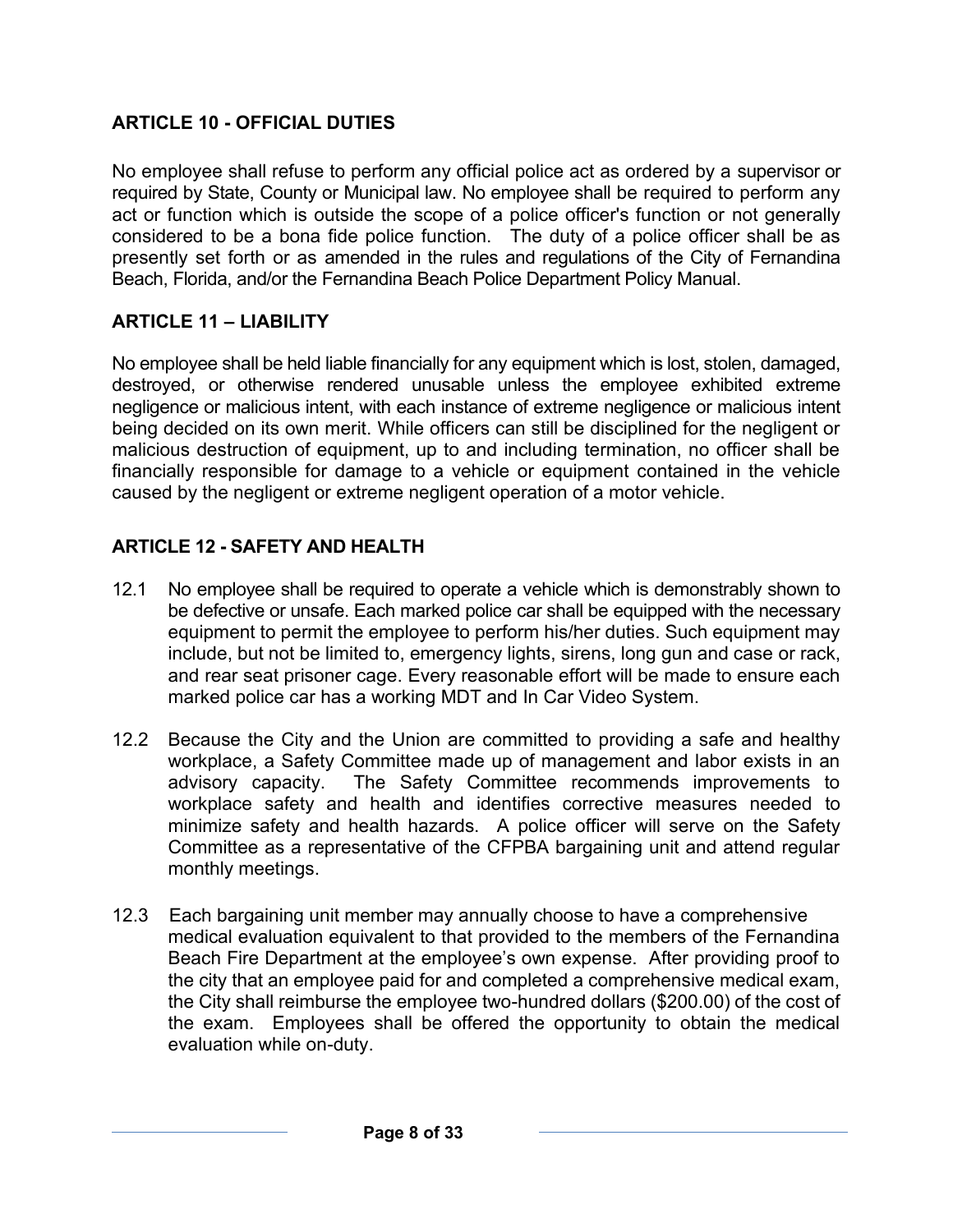## **ARTICLE 10 - OFFICIAL DUTIES**

No employee shall refuse to perform any official police act as ordered by a supervisor or required by State, County or Municipal law. No employee shall be required to perform any act or function which is outside the scope of a police officer's function or not generally considered to be a bona fide police function. The duty of a police officer shall be as presently set forth or as amended in the rules and regulations of the City of Fernandina Beach, Florida, and/or the Fernandina Beach Police Department Policy Manual.

## **ARTICLE 11 – LIABILITY**

No employee shall be held liable financially for any equipment which is lost, stolen, damaged, destroyed, or otherwise rendered unusable unless the employee exhibited extreme negligence or malicious intent, with each instance of extreme negligence or malicious intent being decided on its own merit. While officers can still be disciplined for the negligent or malicious destruction of equipment, up to and including termination, no officer shall be financially responsible for damage to a vehicle or equipment contained in the vehicle caused by the negligent or extreme negligent operation of a motor vehicle.

## **ARTICLE 12 - SAFETY AND HEALTH**

- 12.1 No employee shall be required to operate a vehicle which is demonstrably shown to be defective or unsafe. Each marked police car shall be equipped with the necessary equipment to permit the employee to perform his/her duties. Such equipment may include, but not be limited to, emergency lights, sirens, long gun and case or rack, and rear seat prisoner cage. Every reasonable effort will be made to ensure each marked police car has a working MDT and In Car Video System.
- 12.2 Because the City and the Union are committed to providing a safe and healthy workplace, a Safety Committee made up of management and labor exists in an advisory capacity. The Safety Committee recommends improvements to workplace safety and health and identifies corrective measures needed to minimize safety and health hazards. A police officer will serve on the Safety Committee as a representative of the CFPBA bargaining unit and attend regular monthly meetings.
- 12.3 Each bargaining unit member may annually choose to have a comprehensive medical evaluation equivalent to that provided to the members of the Fernandina Beach Fire Department at the employee's own expense. After providing proof to the city that an employee paid for and completed a comprehensive medical exam, the City shall reimburse the employee two-hundred dollars (\$200.00) of the cost of the exam. Employees shall be offered the opportunity to obtain the medical evaluation while on-duty.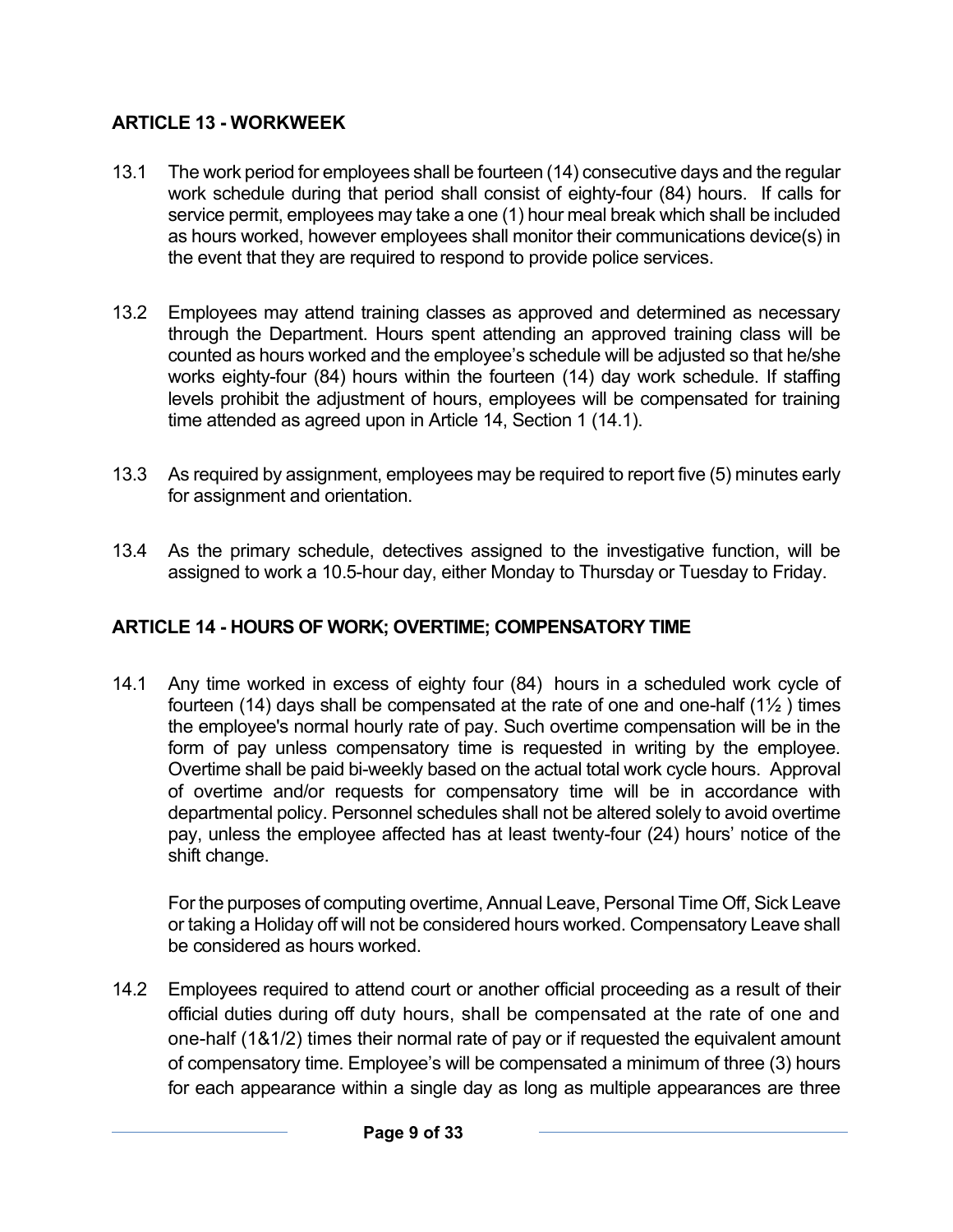## **ARTICLE 13 - WORKWEEK**

- 13.1 The work period for employees shall be fourteen (14) consecutive days and the regular work schedule during that period shall consist of eighty-four (84) hours. If calls for service permit, employees may take a one (1) hour meal break which shall be included as hours worked, however employees shall monitor their communications device(s) in the event that they are required to respond to provide police services.
- 13.2 Employees may attend training classes as approved and determined as necessary through the Department. Hours spent attending an approved training class will be counted as hours worked and the employee's schedule will be adjusted so that he/she works eighty-four (84) hours within the fourteen (14) day work schedule. If staffing levels prohibit the adjustment of hours, employees will be compensated for training time attended as agreed upon in Article 14, Section 1 (14.1).
- 13.3 As required by assignment, employees may be required to report five (5) minutes early for assignment and orientation.
- 13.4 As the primary schedule, detectives assigned to the investigative function, will be assigned to work a 10.5-hour day, either Monday to Thursday or Tuesday to Friday.

## **ARTICLE 14 - HOURS OF WORK; OVERTIME; COMPENSATORY TIME**

14.1 Any time worked in excess of eighty four (84) hours in a scheduled work cycle of fourteen (14) days shall be compensated at the rate of one and one-half  $(1\frac{1}{2})$  times the employee's normal hourly rate of pay. Such overtime compensation will be in the form of pay unless compensatory time is requested in writing by the employee. Overtime shall be paid bi-weekly based on the actual total work cycle hours. Approval of overtime and/or requests for compensatory time will be in accordance with departmental policy. Personnel schedules shall not be altered solely to avoid overtime pay, unless the employee affected has at least twenty-four (24) hours' notice of the shift change.

For the purposes of computing overtime, Annual Leave, Personal Time Off, Sick Leave or taking a Holiday off will not be considered hours worked. Compensatory Leave shall be considered as hours worked.

14.2 Employees required to attend court or another official proceeding as a result of their official duties during off duty hours, shall be compensated at the rate of one and one-half (1&1/2) times their normal rate of pay or if requested the equivalent amount of compensatory time. Employee's will be compensated a minimum of three (3) hours for each appearance within a single day as long as multiple appearances are three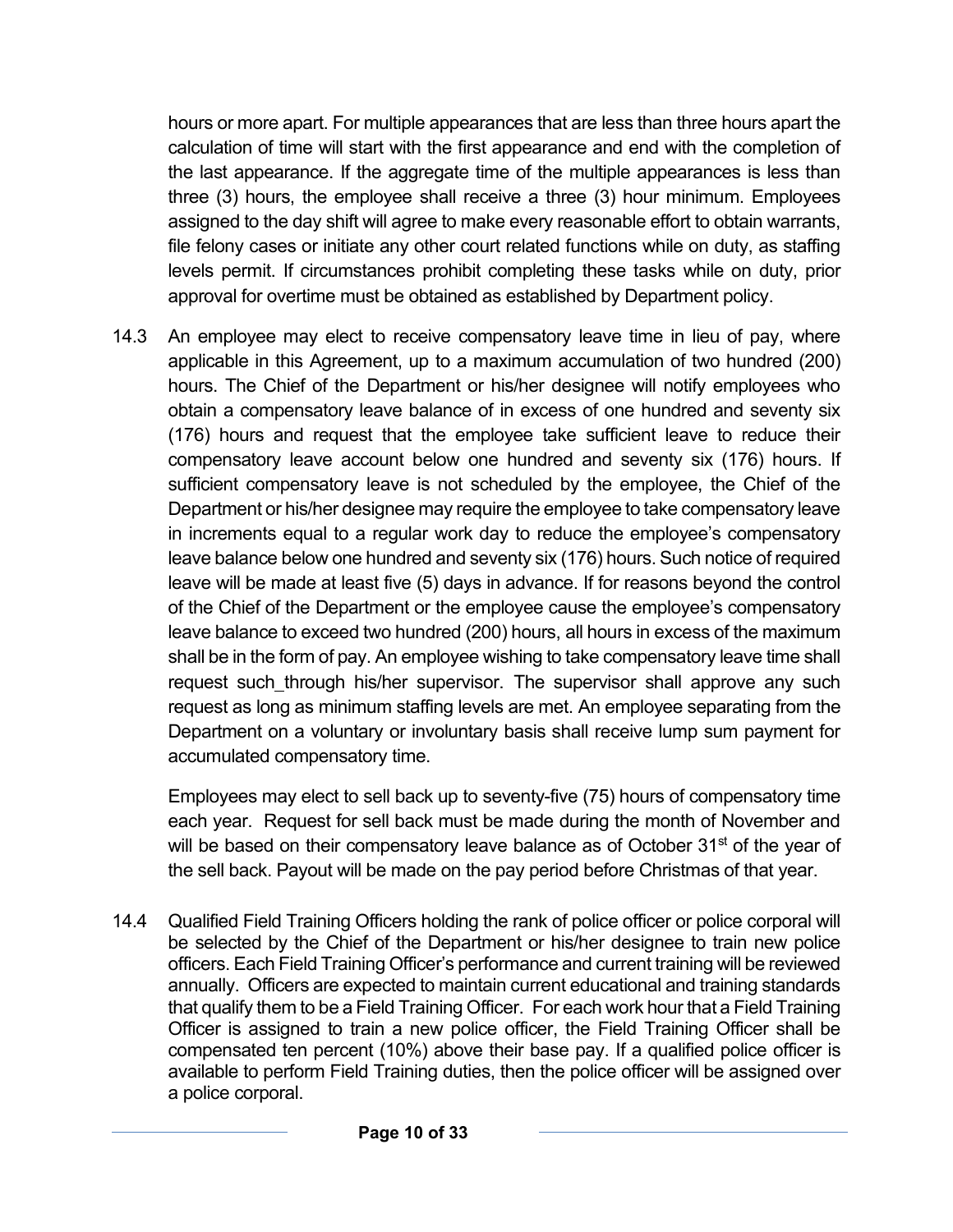hours or more apart. For multiple appearances that are less than three hours apart the calculation of time will start with the first appearance and end with the completion of the last appearance. If the aggregate time of the multiple appearances is less than three (3) hours, the employee shall receive a three (3) hour minimum. Employees assigned to the day shift will agree to make every reasonable effort to obtain warrants, file felony cases or initiate any other court related functions while on duty, as staffing levels permit. If circumstances prohibit completing these tasks while on duty, prior approval for overtime must be obtained as established by Department policy.

14.3 An employee may elect to receive compensatory leave time in lieu of pay, where applicable in this Agreement, up to a maximum accumulation of two hundred (200) hours. The Chief of the Department or his/her designee will notify employees who obtain a compensatory leave balance of in excess of one hundred and seventy six (176) hours and request that the employee take sufficient leave to reduce their compensatory leave account below one hundred and seventy six (176) hours. If sufficient compensatory leave is not scheduled by the employee, the Chief of the Department or his/her designee may require the employee to take compensatory leave in increments equal to a regular work day to reduce the employee's compensatory leave balance below one hundred and seventy six (176) hours. Such notice of required leave will be made at least five (5) days in advance. If for reasons beyond the control of the Chief of the Department or the employee cause the employee's compensatory leave balance to exceed two hundred (200) hours, all hours in excess of the maximum shall be in the form of pay. An employee wishing to take compensatory leave time shall request such through his/her supervisor. The supervisor shall approve any such request as long as minimum staffing levels are met. An employee separating from the Department on a voluntary or involuntary basis shall receive lump sum payment for accumulated compensatory time.

Employees may elect to sell back up to seventy-five (75) hours of compensatory time each year. Request for sell back must be made during the month of November and will be based on their compensatory leave balance as of October 31<sup>st</sup> of the year of the sell back. Payout will be made on the pay period before Christmas of that year.

14.4 Qualified Field Training Officers holding the rank of police officer or police corporal will be selected by the Chief of the Department or his/her designee to train new police officers. Each Field Training Officer's performance and current training will be reviewed annually. Officers are expected to maintain current educational and training standards that qualify them to be a Field Training Officer. For each work hour that a Field Training Officer is assigned to train a new police officer, the Field Training Officer shall be compensated ten percent (10%) above their base pay. If a qualified police officer is available to perform Field Training duties, then the police officer will be assigned over a police corporal.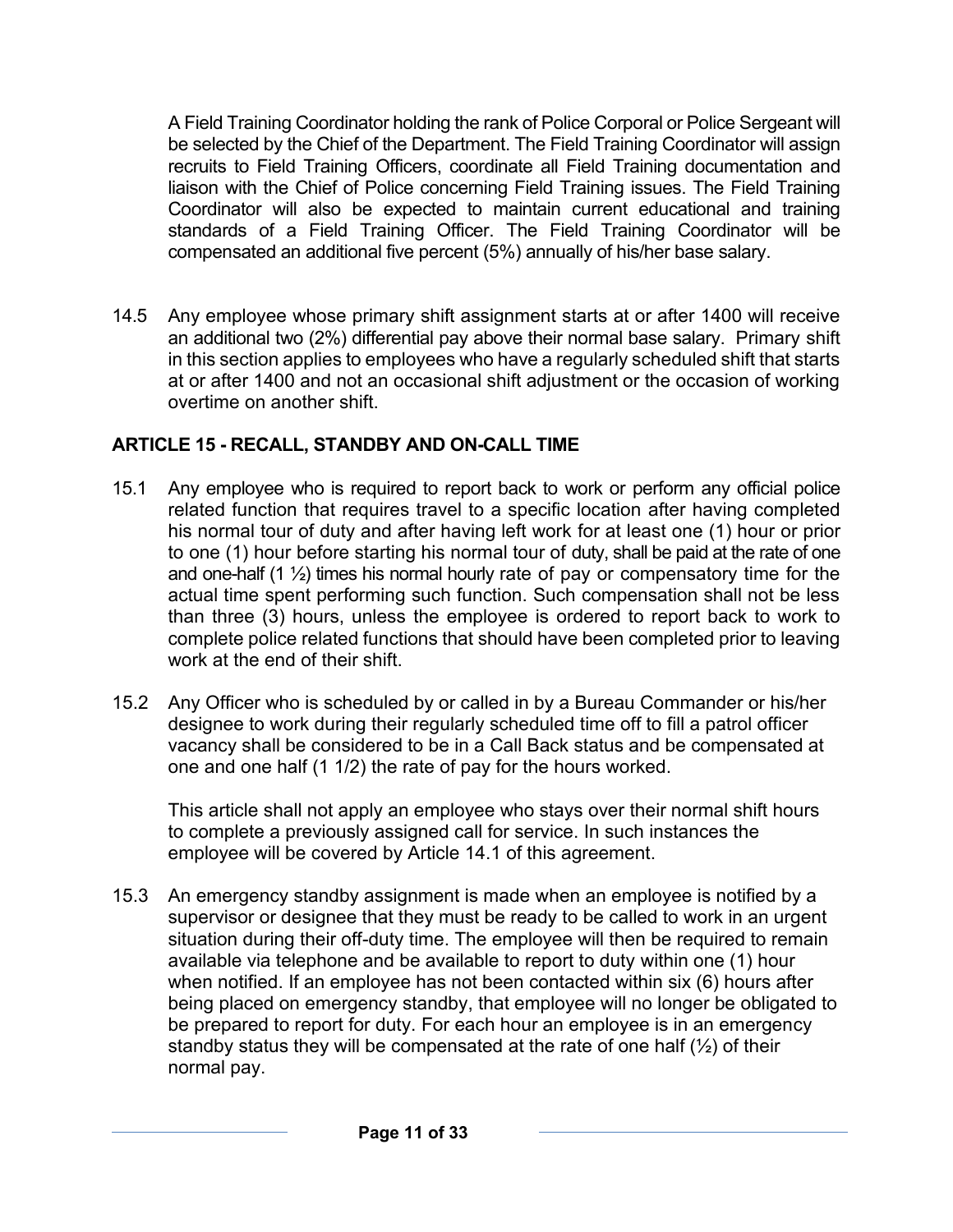A Field Training Coordinator holding the rank of Police Corporal or Police Sergeant will be selected by the Chief of the Department. The Field Training Coordinator will assign recruits to Field Training Officers, coordinate all Field Training documentation and liaison with the Chief of Police concerning Field Training issues. The Field Training Coordinator will also be expected to maintain current educational and training standards of a Field Training Officer. The Field Training Coordinator will be compensated an additional five percent (5%) annually of his/her base salary.

14.5 Any employee whose primary shift assignment starts at or after 1400 will receive an additional two (2%) differential pay above their normal base salary. Primary shift in this section applies to employees who have a regularly scheduled shift that starts at or after 1400 and not an occasional shift adjustment or the occasion of working overtime on another shift.

## **ARTICLE 15 - RECALL, STANDBY AND ON-CALL TIME**

- 15.1 Any employee who is required to report back to work or perform any official police related function that requires travel to a specific location after having completed his normal tour of duty and after having left work for at least one (1) hour or prior to one (1) hour before starting his normal tour of duty, shall be paid at the rate of one and one-half  $(1 \frac{1}{2})$  times his normal hourly rate of pay or compensatory time for the actual time spent performing such function. Such compensation shall not be less than three (3) hours, unless the employee is ordered to report back to work to complete police related functions that should have been completed prior to leaving work at the end of their shift.
- 15.2 Any Officer who is scheduled by or called in by a Bureau Commander or his/her designee to work during their regularly scheduled time off to fill a patrol officer vacancy shall be considered to be in a Call Back status and be compensated at one and one half (1 1/2) the rate of pay for the hours worked.

This article shall not apply an employee who stays over their normal shift hours to complete a previously assigned call for service. In such instances the employee will be covered by Article 14.1 of this agreement.

15.3 An emergency standby assignment is made when an employee is notified by a supervisor or designee that they must be ready to be called to work in an urgent situation during their off-duty time. The employee will then be required to remain available via telephone and be available to report to duty within one (1) hour when notified. If an employee has not been contacted within six (6) hours after being placed on emergency standby, that employee will no longer be obligated to be prepared to report for duty. For each hour an employee is in an emergency standby status they will be compensated at the rate of one half  $(\frac{1}{2})$  of their normal pay.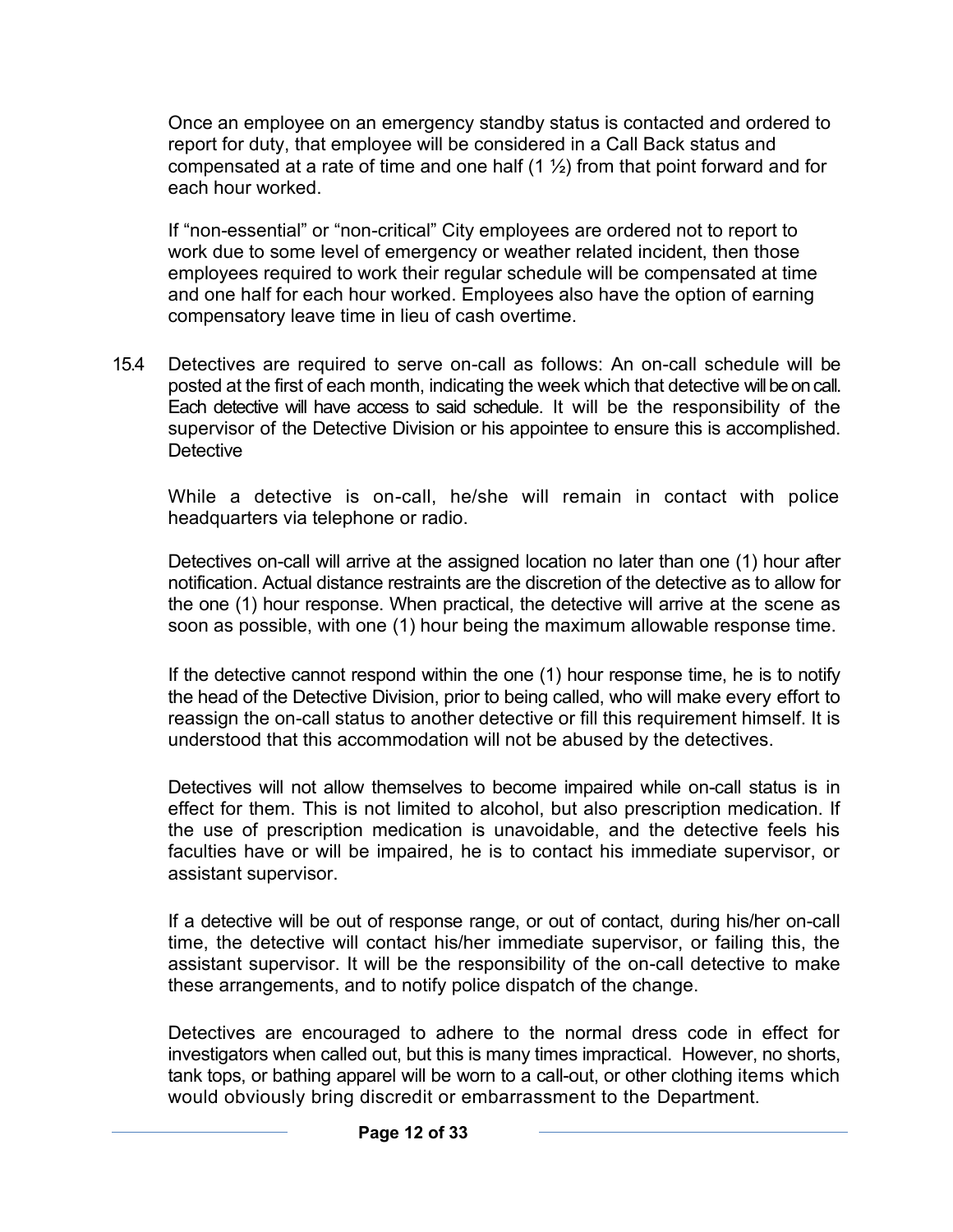Once an employee on an emergency standby status is contacted and ordered to report for duty, that employee will be considered in a Call Back status and compensated at a rate of time and one half  $(1 \frac{1}{2})$  from that point forward and for each hour worked.

If "non-essential" or "non-critical" City employees are ordered not to report to work due to some level of emergency or weather related incident, then those employees required to work their regular schedule will be compensated at time and one half for each hour worked. Employees also have the option of earning compensatory leave time in lieu of cash overtime.

15.4 Detectives are required to serve on-call as follows: An on-call schedule will be posted at the first of each month, indicating the week which that detective will be on call. Each detective will have access to said schedule. It will be the responsibility of the supervisor of the Detective Division or his appointee to ensure this is accomplished. **Detective** 

While a detective is on-call, he/she will remain in contact with police headquarters via telephone or radio.

Detectives on-call will arrive at the assigned location no later than one (1) hour after notification. Actual distance restraints are the discretion of the detective as to allow for the one (1) hour response. When practical, the detective will arrive at the scene as soon as possible, with one (1) hour being the maximum allowable response time.

If the detective cannot respond within the one (1) hour response time, he is to notify the head of the Detective Division, prior to being called, who will make every effort to reassign the on-call status to another detective or fill this requirement himself. It is understood that this accommodation will not be abused by the detectives.

Detectives will not allow themselves to become impaired while on-call status is in effect for them. This is not limited to alcohol, but also prescription medication. If the use of prescription medication is unavoidable, and the detective feels his faculties have or will be impaired, he is to contact his immediate supervisor, or assistant supervisor.

If a detective will be out of response range, or out of contact, during his/her on-call time, the detective will contact his/her immediate supervisor, or failing this, the assistant supervisor. It will be the responsibility of the on-call detective to make these arrangements, and to notify police dispatch of the change.

Detectives are encouraged to adhere to the normal dress code in effect for investigators when called out, but this is many times impractical. However, no shorts, tank tops, or bathing apparel will be worn to a call-out, or other clothing items which would obviously bring discredit or embarrassment to the Department.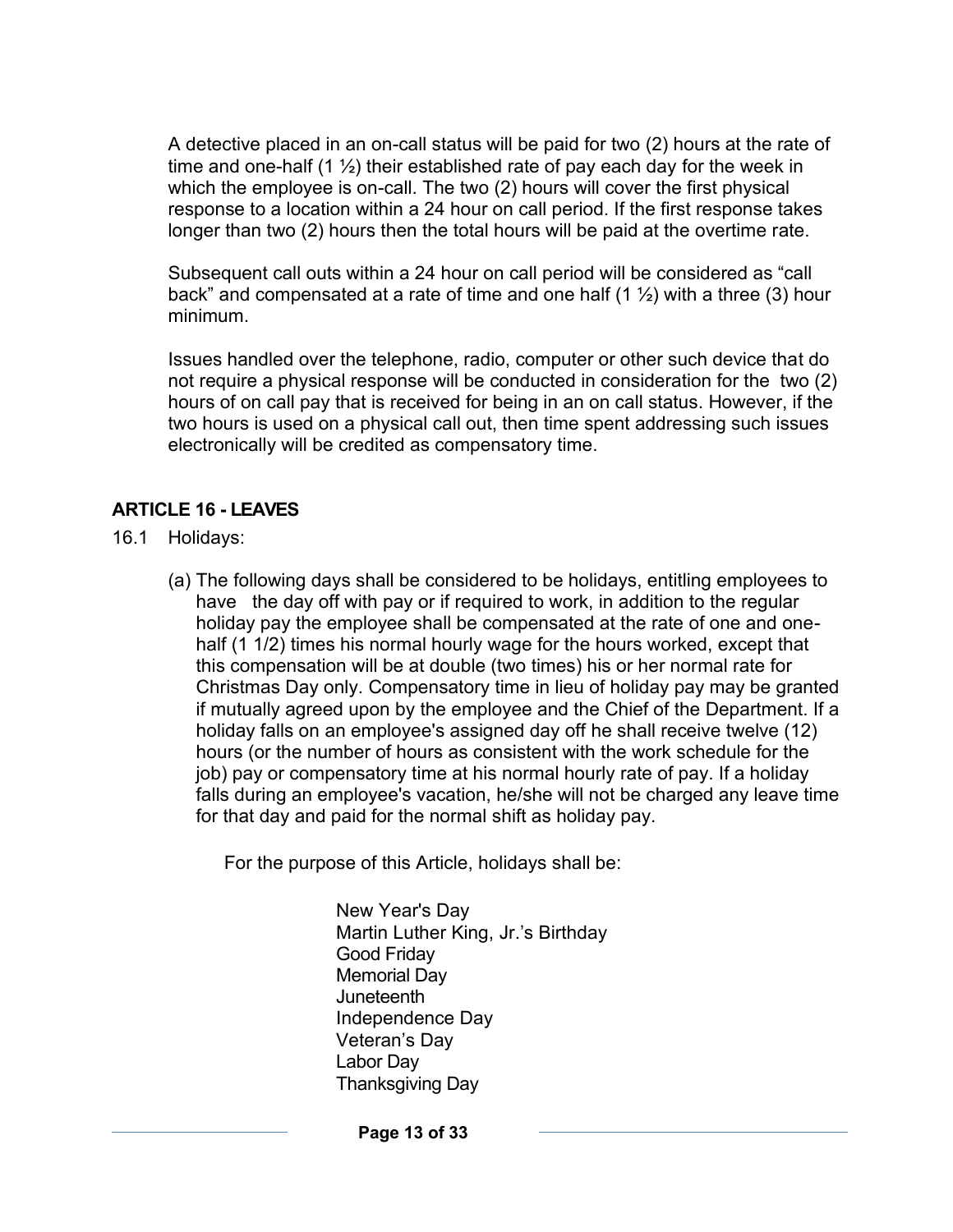A detective placed in an on-call status will be paid for two (2) hours at the rate of time and one-half  $(1 \frac{1}{2})$  their established rate of pay each day for the week in which the employee is on-call. The two (2) hours will cover the first physical response to a location within a 24 hour on call period. If the first response takes longer than two (2) hours then the total hours will be paid at the overtime rate.

Subsequent call outs within a 24 hour on call period will be considered as "call back" and compensated at a rate of time and one half  $(1 \frac{1}{2})$  with a three (3) hour minimum.

Issues handled over the telephone, radio, computer or other such device that do not require a physical response will be conducted in consideration for the two (2) hours of on call pay that is received for being in an on call status. However, if the two hours is used on a physical call out, then time spent addressing such issues electronically will be credited as compensatory time.

#### **ARTICLE 16 - LEAVES**

- 16.1 Holidays:
	- (a) The following days shall be considered to be holidays, entitling employees to have the day off with pay or if required to work, in addition to the regular holiday pay the employee shall be compensated at the rate of one and onehalf (1 1/2) times his normal hourly wage for the hours worked, except that this compensation will be at double (two times) his or her normal rate for Christmas Day only. Compensatory time in lieu of holiday pay may be granted if mutually agreed upon by the employee and the Chief of the Department. If a holiday falls on an employee's assigned day off he shall receive twelve (12) hours (or the number of hours as consistent with the work schedule for the job) pay or compensatory time at his normal hourly rate of pay. If a holiday falls during an employee's vacation, he/she will not be charged any leave time for that day and paid for the normal shift as holiday pay.

For the purpose of this Article, holidays shall be:

New Year's Day Martin Luther King, Jr.'s Birthday Good Friday Memorial Day **Juneteenth** Independence Day Veteran's Day Labor Day Thanksgiving Day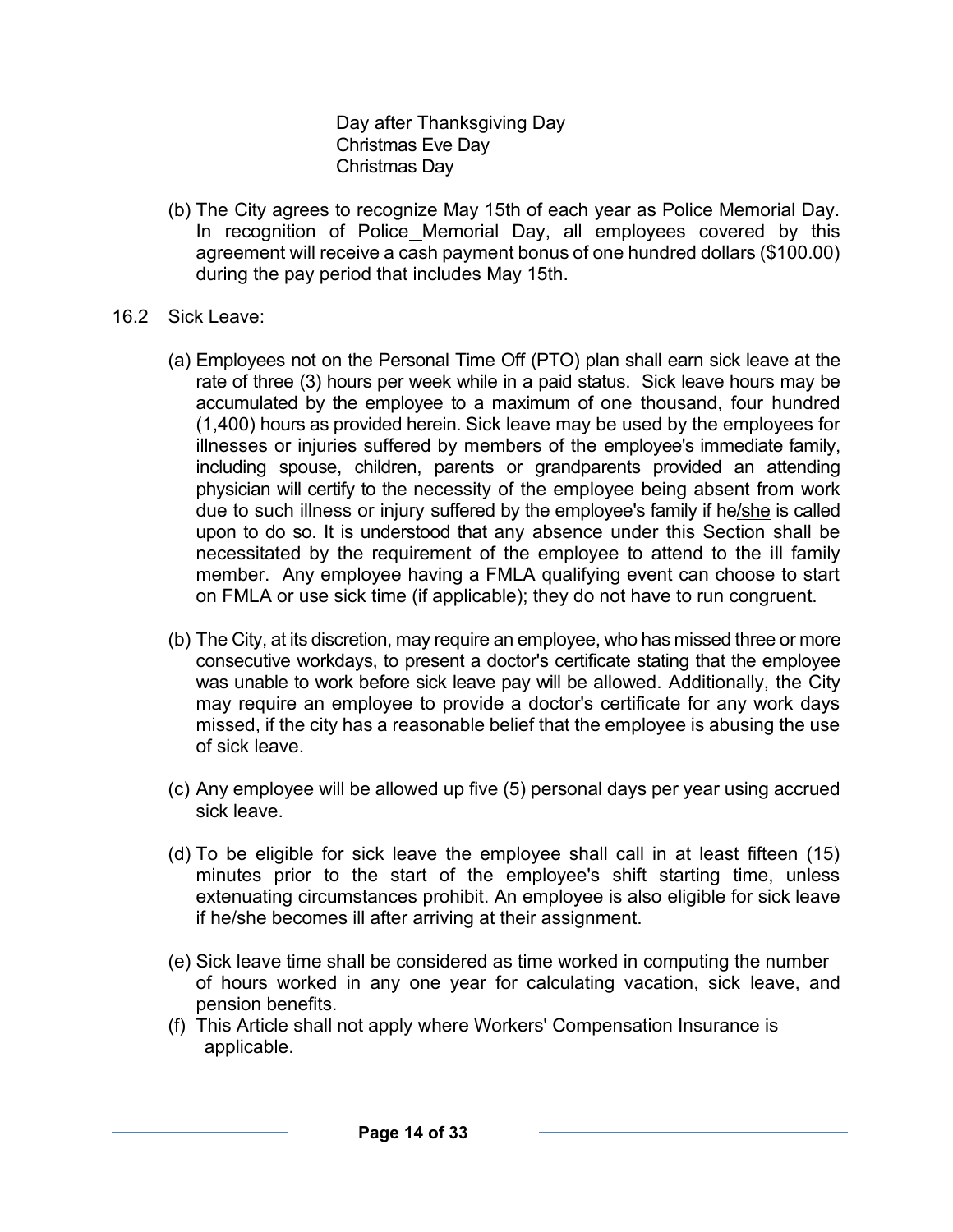Day after Thanksgiving Day Christmas Eve Day Christmas Day

- (b) The City agrees to recognize May 15th of each year as Police Memorial Day. In recognition of Police Memorial Day, all employees covered by this agreement will receive a cash payment bonus of one hundred dollars (\$100.00) during the pay period that includes May 15th.
- 16.2 Sick Leave:
	- (a) Employees not on the Personal Time Off (PTO) plan shall earn sick leave at the rate of three (3) hours per week while in a paid status. Sick leave hours may be accumulated by the employee to a maximum of one thousand, four hundred (1,400) hours as provided herein. Sick leave may be used by the employees for illnesses or injuries suffered by members of the employee's immediate family, including spouse, children, parents or grandparents provided an attending physician will certify to the necessity of the employee being absent from work due to such illness or injury suffered by the employee's family if he/she is called upon to do so. It is understood that any absence under this Section shall be necessitated by the requirement of the employee to attend to the ill family member. Any employee having a FMLA qualifying event can choose to start on FMLA or use sick time (if applicable); they do not have to run congruent.
	- (b) The City, at its discretion, may require an employee, who has missed three or more consecutive workdays, to present a doctor's certificate stating that the employee was unable to work before sick leave pay will be allowed. Additionally, the City may require an employee to provide a doctor's certificate for any work days missed, if the city has a reasonable belief that the employee is abusing the use of sick leave.
	- (c) Any employee will be allowed up five (5) personal days per year using accrued sick leave.
	- (d) To be eligible for sick leave the employee shall call in at least fifteen (15) minutes prior to the start of the employee's shift starting time, unless extenuating circumstances prohibit. An employee is also eligible for sick leave if he/she becomes ill after arriving at their assignment.
	- (e) Sick leave time shall be considered as time worked in computing the number of hours worked in any one year for calculating vacation, sick leave, and pension benefits.
	- (f) This Article shall not apply where Workers' Compensation Insurance is applicable.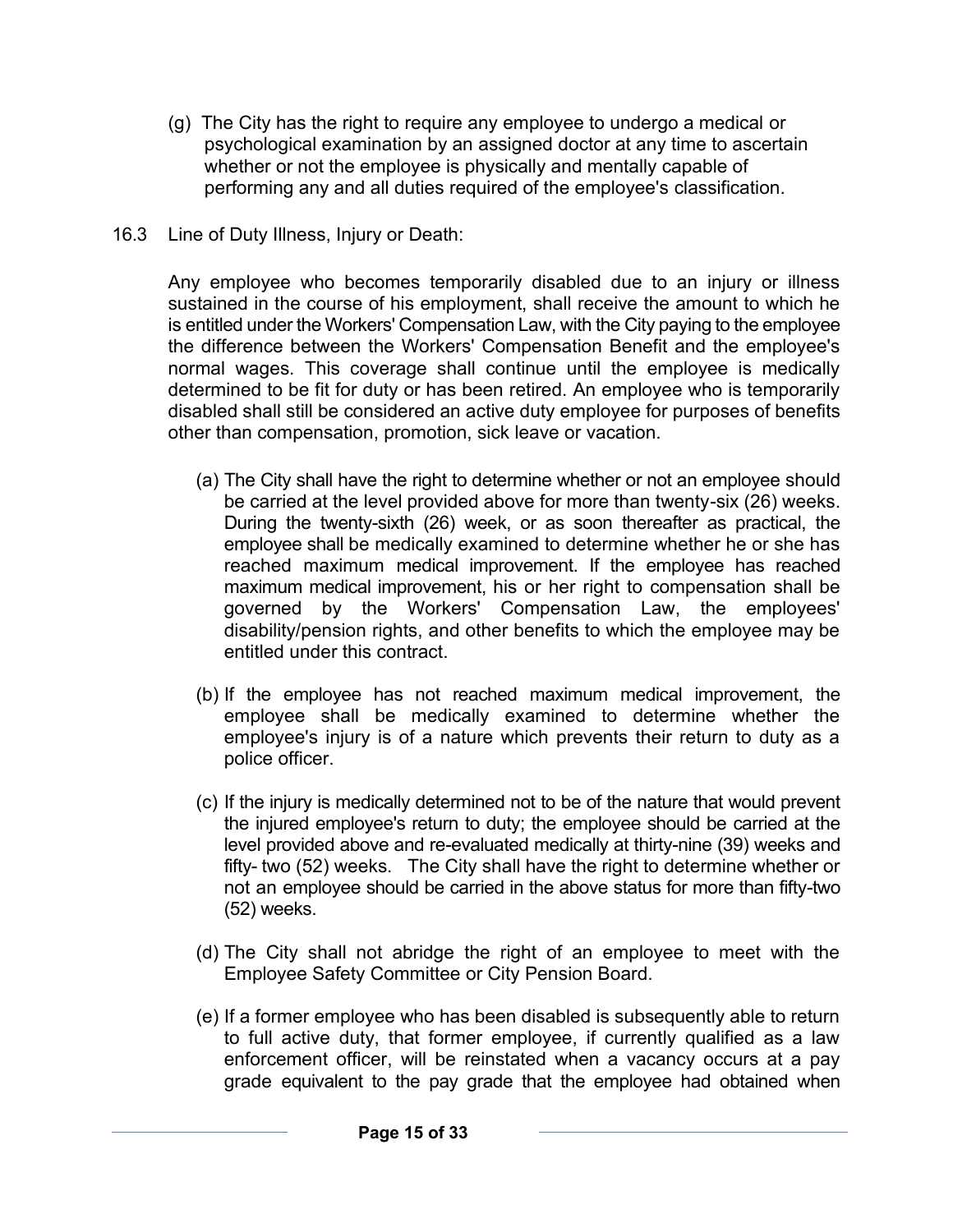- (g) The City has the right to require any employee to undergo a medical or psychological examination by an assigned doctor at any time to ascertain whether or not the employee is physically and mentally capable of performing any and all duties required of the employee's classification.
- 16.3 Line of Duty Illness, Injury or Death:

Any employee who becomes temporarily disabled due to an injury or illness sustained in the course of his employment, shall receive the amount to which he is entitled under the Workers' Compensation Law, with the City paying to the employee the difference between the Workers' Compensation Benefit and the employee's normal wages. This coverage shall continue until the employee is medically determined to be fit for duty or has been retired. An employee who is temporarily disabled shall still be considered an active duty employee for purposes of benefits other than compensation, promotion, sick leave or vacation.

- (a) The City shall have the right to determine whether or not an employee should be carried at the level provided above for more than twenty-six (26) weeks. During the twenty-sixth (26) week, or as soon thereafter as practical, the employee shall be medically examined to determine whether he or she has reached maximum medical improvement. If the employee has reached maximum medical improvement, his or her right to compensation shall be governed by the Workers' Compensation Law, the employees' disability/pension rights, and other benefits to which the employee may be entitled under this contract.
- (b) If the employee has not reached maximum medical improvement, the employee shall be medically examined to determine whether the employee's injury is of a nature which prevents their return to duty as a police officer.
- (c) If the injury is medically determined not to be of the nature that would prevent the injured employee's return to duty; the employee should be carried at the level provided above and re-evaluated medically at thirty-nine (39) weeks and fifty- two (52) weeks. The City shall have the right to determine whether or not an employee should be carried in the above status for more than fifty-two (52) weeks.
- (d) The City shall not abridge the right of an employee to meet with the Employee Safety Committee or City Pension Board.
- (e) If a former employee who has been disabled is subsequently able to return to full active duty, that former employee, if currently qualified as a law enforcement officer, will be reinstated when a vacancy occurs at a pay grade equivalent to the pay grade that the employee had obtained when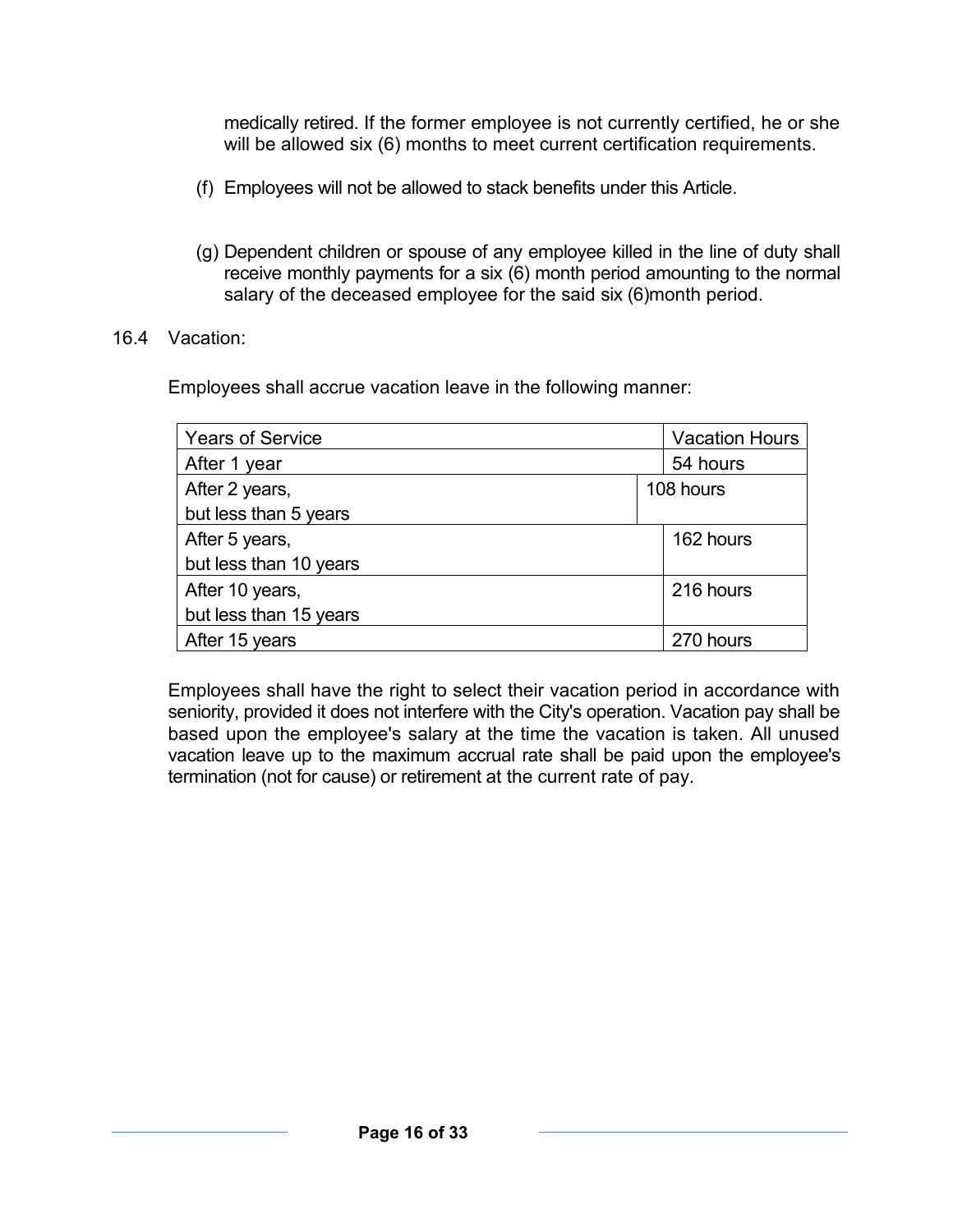medically retired. If the former employee is not currently certified, he or she will be allowed six (6) months to meet current certification requirements.

- (f) Employees will not be allowed to stack benefits under this Article.
- (g) Dependent children or spouse of any employee killed in the line of duty shall receive monthly payments for a six (6) month period amounting to the normal salary of the deceased employee for the said six (6)month period.
- 16.4 Vacation:

Employees shall accrue vacation leave in the following manner:

| <b>Years of Service</b> | <b>Vacation Hours</b> |
|-------------------------|-----------------------|
| After 1 year            | 54 hours              |
| After 2 years,          | 108 hours             |
| but less than 5 years   |                       |
| After 5 years,          | 162 hours             |
| but less than 10 years  |                       |
| After 10 years,         | 216 hours             |
| but less than 15 years  |                       |
| After 15 years          | 270 hours             |

Employees shall have the right to select their vacation period in accordance with seniority, provided it does not interfere with the City's operation. Vacation pay shall be based upon the employee's salary at the time the vacation is taken. All unused vacation leave up to the maximum accrual rate shall be paid upon the employee's termination (not for cause) or retirement at the current rate of pay.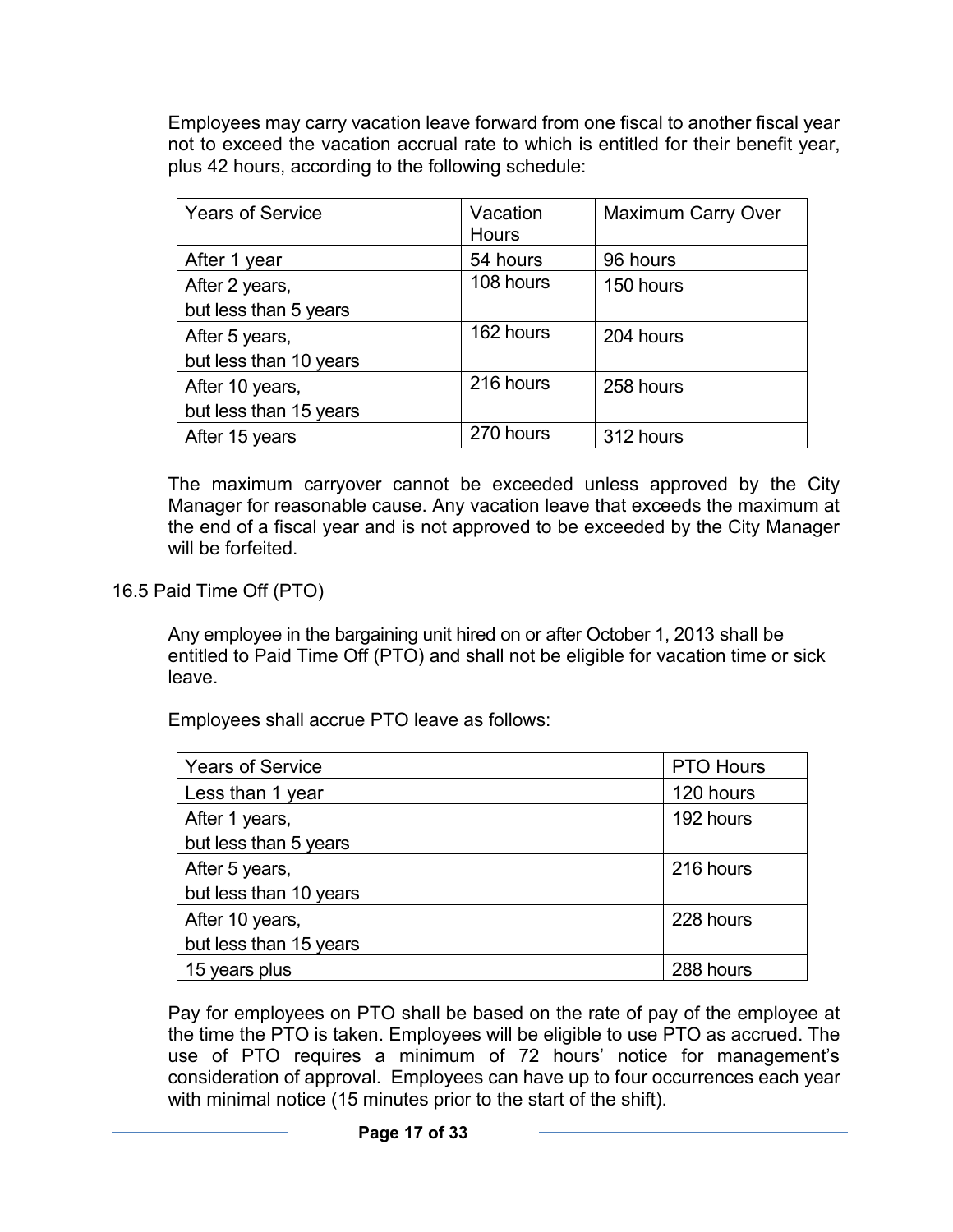Employees may carry vacation leave forward from one fiscal to another fiscal year not to exceed the vacation accrual rate to which is entitled for their benefit year, plus 42 hours, according to the following schedule:

| <b>Years of Service</b> | Vacation<br><b>Hours</b> | <b>Maximum Carry Over</b> |
|-------------------------|--------------------------|---------------------------|
| After 1 year            | 54 hours                 | 96 hours                  |
| After 2 years,          | 108 hours                | 150 hours                 |
| but less than 5 years   |                          |                           |
| After 5 years,          | 162 hours                | 204 hours                 |
| but less than 10 years  |                          |                           |
| After 10 years,         | 216 hours                | 258 hours                 |
| but less than 15 years  |                          |                           |
| After 15 years          | 270 hours                | 312 hours                 |

The maximum carryover cannot be exceeded unless approved by the City Manager for reasonable cause. Any vacation leave that exceeds the maximum at the end of a fiscal year and is not approved to be exceeded by the City Manager will be forfeited.

16.5 Paid Time Off (PTO)

Any employee in the bargaining unit hired on or after October 1, 2013 shall be entitled to Paid Time Off (PTO) and shall not be eligible for vacation time or sick leave.

Employees shall accrue PTO leave as follows:

| <b>Years of Service</b> | <b>PTO Hours</b> |
|-------------------------|------------------|
|                         |                  |
| Less than 1 year        | 120 hours        |
| After 1 years,          | 192 hours        |
| but less than 5 years   |                  |
| After 5 years,          | 216 hours        |
| but less than 10 years  |                  |
| After 10 years,         | 228 hours        |
| but less than 15 years  |                  |
| 15 years plus           | 288 hours        |

Pay for employees on PTO shall be based on the rate of pay of the employee at the time the PTO is taken. Employees will be eligible to use PTO as accrued. The use of PTO requires a minimum of 72 hours' notice for management's consideration of approval. Employees can have up to four occurrences each year with minimal notice (15 minutes prior to the start of the shift).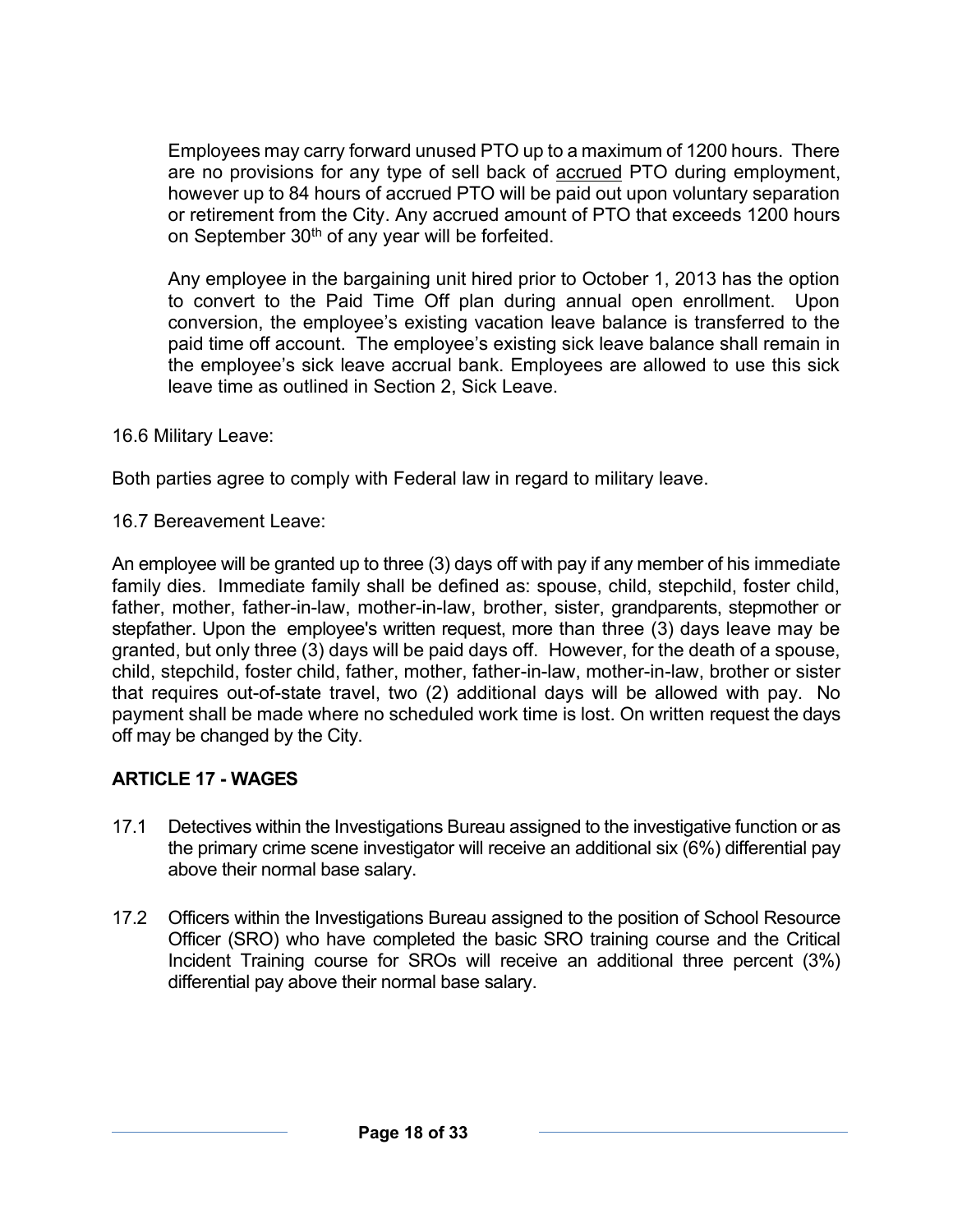Employees may carry forward unused PTO up to a maximum of 1200 hours. There are no provisions for any type of sell back of accrued PTO during employment, however up to 84 hours of accrued PTO will be paid out upon voluntary separation or retirement from the City. Any accrued amount of PTO that exceeds 1200 hours on September  $30<sup>th</sup>$  of any year will be forfeited.

Any employee in the bargaining unit hired prior to October 1, 2013 has the option to convert to the Paid Time Off plan during annual open enrollment. Upon conversion, the employee's existing vacation leave balance is transferred to the paid time off account. The employee's existing sick leave balance shall remain in the employee's sick leave accrual bank. Employees are allowed to use this sick leave time as outlined in Section 2, Sick Leave.

16.6 Military Leave:

Both parties agree to comply with Federal law in regard to military leave.

16.7 Bereavement Leave:

An employee will be granted up to three (3) days off with pay if any member of his immediate family dies. Immediate family shall be defined as: spouse, child, stepchild, foster child, father, mother, father-in-law, mother-in-law, brother, sister, grandparents, stepmother or stepfather. Upon the employee's written request, more than three (3) days leave may be granted, but only three (3) days will be paid days off. However, for the death of a spouse, child, stepchild, foster child, father, mother, father-in-law, mother-in-law, brother or sister that requires out-of-state travel, two (2) additional days will be allowed with pay. No payment shall be made where no scheduled work time is lost. On written request the days off may be changed by the City.

### **ARTICLE 17 - WAGES**

- 17.1 Detectives within the Investigations Bureau assigned to the investigative function or as the primary crime scene investigator will receive an additional six (6%) differential pay above their normal base salary.
- 17.2 Officers within the Investigations Bureau assigned to the position of School Resource Officer (SRO) who have completed the basic SRO training course and the Critical Incident Training course for SROs will receive an additional three percent (3%) differential pay above their normal base salary.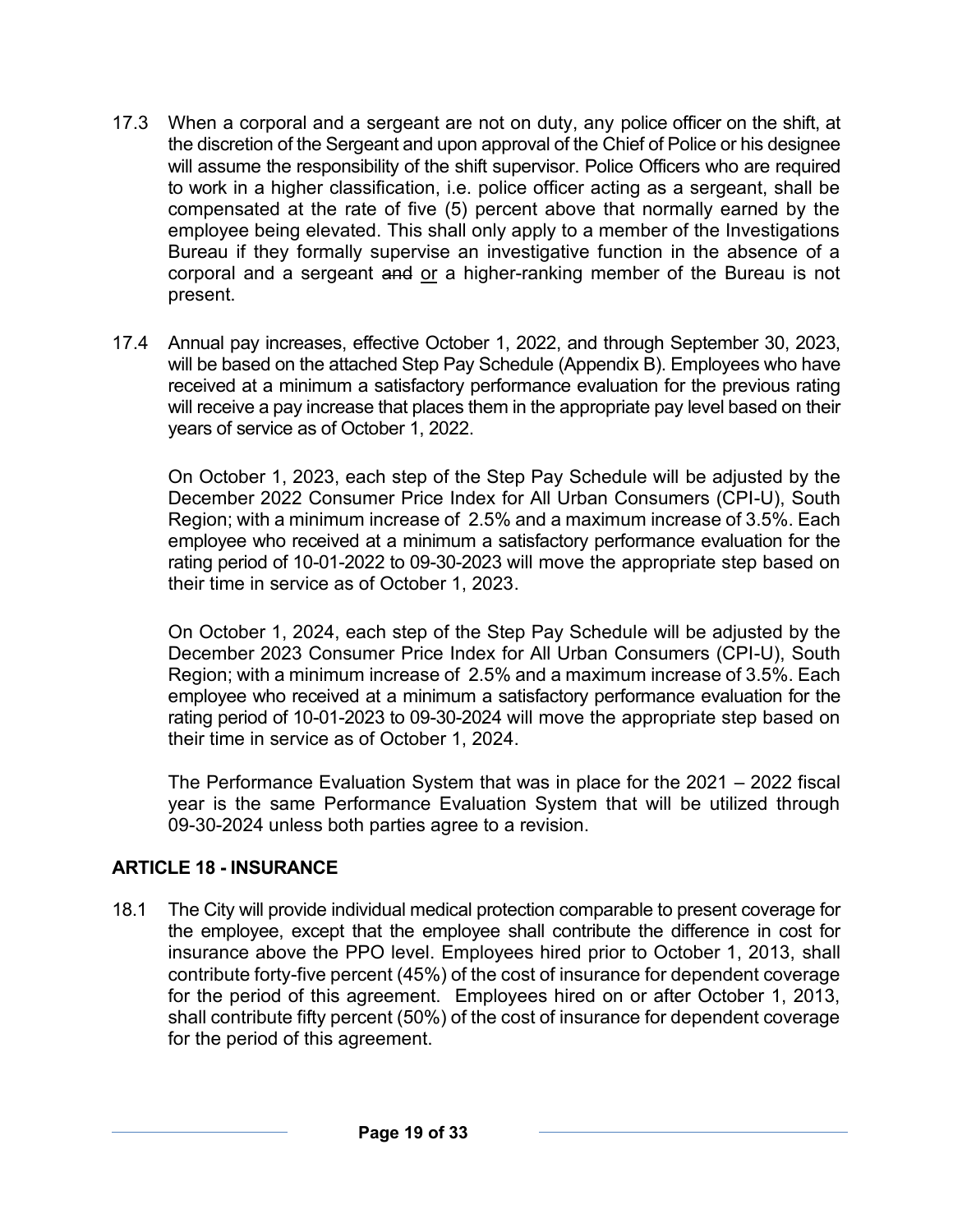- 17.3 When a corporal and a sergeant are not on duty, any police officer on the shift, at the discretion of the Sergeant and upon approval of the Chief of Police or his designee will assume the responsibility of the shift supervisor. Police Officers who are required to work in a higher classification, i.e. police officer acting as a sergeant, shall be compensated at the rate of five (5) percent above that normally earned by the employee being elevated. This shall only apply to a member of the Investigations Bureau if they formally supervise an investigative function in the absence of a corporal and a sergeant and or a higher-ranking member of the Bureau is not present.
- 17.4 Annual pay increases, effective October 1, 2022, and through September 30, 2023, will be based on the attached Step Pay Schedule (Appendix B). Employees who have received at a minimum a satisfactory performance evaluation for the previous rating will receive a pay increase that places them in the appropriate pay level based on their years of service as of October 1, 2022.

On October 1, 2023, each step of the Step Pay Schedule will be adjusted by the December 2022 Consumer Price Index for All Urban Consumers (CPI-U), South Region; with a minimum increase of 2.5% and a maximum increase of 3.5%. Each employee who received at a minimum a satisfactory performance evaluation for the rating period of 10-01-2022 to 09-30-2023 will move the appropriate step based on their time in service as of October 1, 2023.

On October 1, 2024, each step of the Step Pay Schedule will be adjusted by the December 2023 Consumer Price Index for All Urban Consumers (CPI-U), South Region; with a minimum increase of 2.5% and a maximum increase of 3.5%. Each employee who received at a minimum a satisfactory performance evaluation for the rating period of 10-01-2023 to 09-30-2024 will move the appropriate step based on their time in service as of October 1, 2024.

The Performance Evaluation System that was in place for the 2021 – 2022 fiscal year is the same Performance Evaluation System that will be utilized through 09-30-2024 unless both parties agree to a revision.

### **ARTICLE 18 - INSURANCE**

18.1 The City will provide individual medical protection comparable to present coverage for the employee, except that the employee shall contribute the difference in cost for insurance above the PPO level. Employees hired prior to October 1, 2013, shall contribute forty-five percent (45%) of the cost of insurance for dependent coverage for the period of this agreement. Employees hired on or after October 1, 2013, shall contribute fifty percent (50%) of the cost of insurance for dependent coverage for the period of this agreement.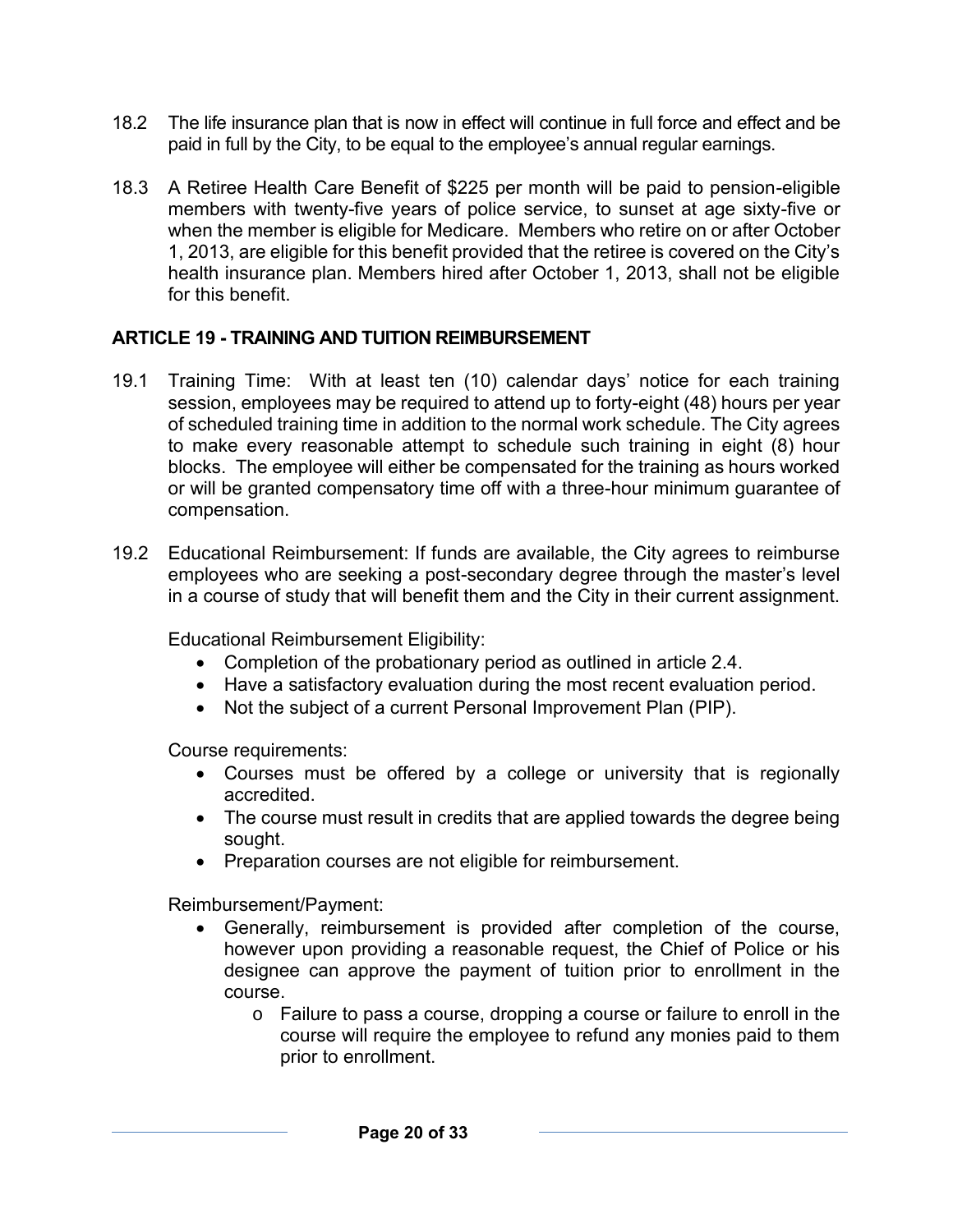- 18.2 The life insurance plan that is now in effect will continue in full force and effect and be paid in full by the City, to be equal to the employee's annual regular earnings.
- 18.3 A Retiree Health Care Benefit of \$225 per month will be paid to pension-eligible members with twenty-five years of police service, to sunset at age sixty-five or when the member is eligible for Medicare. Members who retire on or after October 1, 2013, are eligible for this benefit provided that the retiree is covered on the City's health insurance plan. Members hired after October 1, 2013, shall not be eligible for this benefit

#### **ARTICLE 19 - TRAINING AND TUITION REIMBURSEMENT**

- 19.1 Training Time: With at least ten (10) calendar days' notice for each training session, employees may be required to attend up to forty-eight (48) hours per year of scheduled training time in addition to the normal work schedule. The City agrees to make every reasonable attempt to schedule such training in eight (8) hour blocks. The employee will either be compensated for the training as hours worked or will be granted compensatory time off with a three-hour minimum guarantee of compensation.
- 19.2 Educational Reimbursement: If funds are available, the City agrees to reimburse employees who are seeking a post-secondary degree through the master's level in a course of study that will benefit them and the City in their current assignment.

Educational Reimbursement Eligibility:

- Completion of the probationary period as outlined in article 2.4.
- Have a satisfactory evaluation during the most recent evaluation period.
- Not the subject of a current Personal Improvement Plan (PIP).

Course requirements:

- Courses must be offered by a college or university that is regionally accredited.
- The course must result in credits that are applied towards the degree being sought.
- Preparation courses are not eligible for reimbursement.

Reimbursement/Payment:

- Generally, reimbursement is provided after completion of the course, however upon providing a reasonable request, the Chief of Police or his designee can approve the payment of tuition prior to enrollment in the course.
	- $\circ$  Failure to pass a course, dropping a course or failure to enroll in the course will require the employee to refund any monies paid to them prior to enrollment.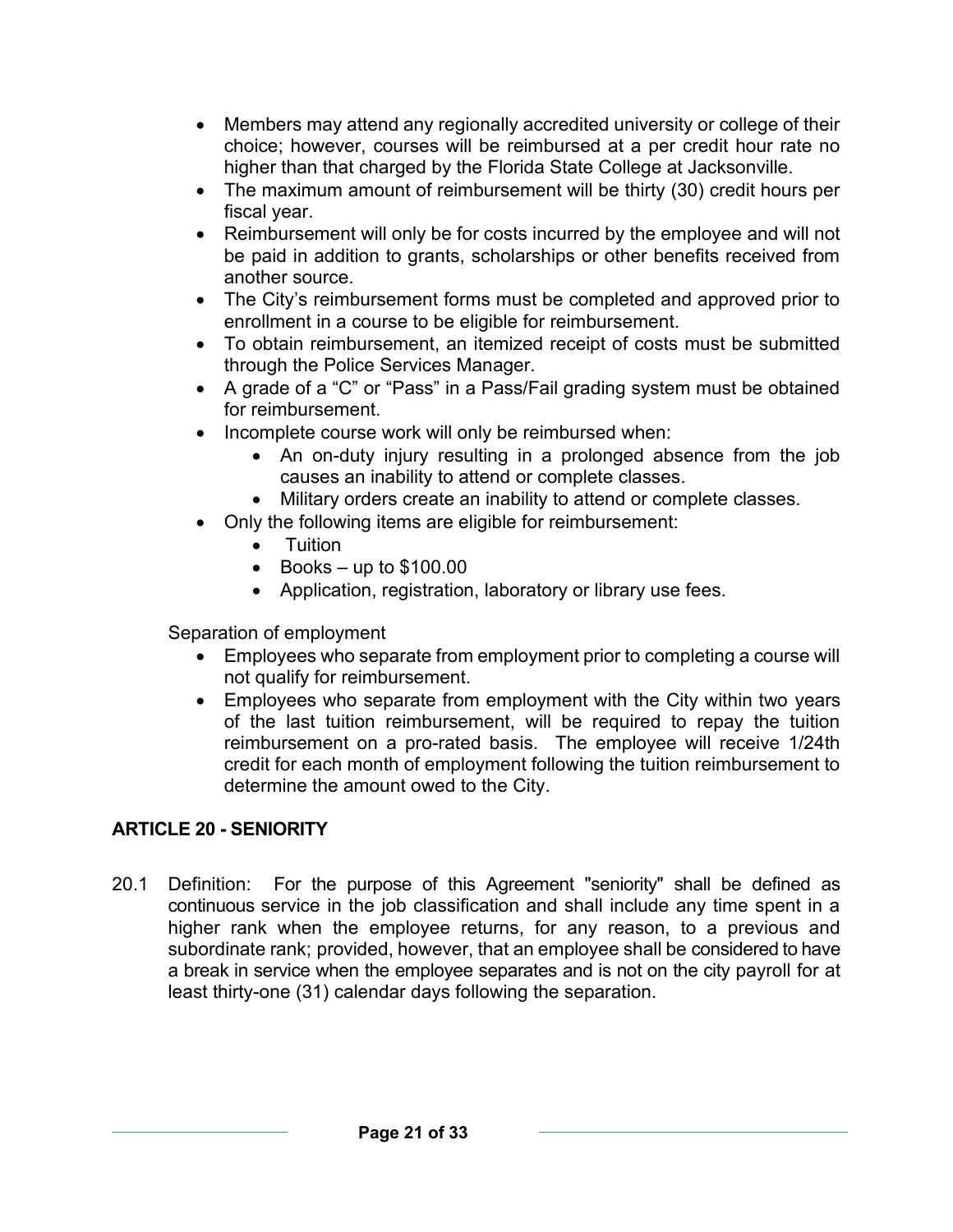- Members may attend any regionally accredited university or college of their choice; however, courses will be reimbursed at a per credit hour rate no higher than that charged by the Florida State College at Jacksonville.
- The maximum amount of reimbursement will be thirty (30) credit hours per fiscal year.
- Reimbursement will only be for costs incurred by the employee and will not be paid in addition to grants, scholarships or other benefits received from another source.
- The City's reimbursement forms must be completed and approved prior to enrollment in a course to be eligible for reimbursement.
- To obtain reimbursement, an itemized receipt of costs must be submitted through the Police Services Manager.
- A grade of a "C" or "Pass" in a Pass/Fail grading system must be obtained for reimbursement.
- Incomplete course work will only be reimbursed when:
	- An on-duty injury resulting in a prolonged absence from the job causes an inability to attend or complete classes.
	- Military orders create an inability to attend or complete classes.
- Only the following items are eligible for reimbursement:
	- Tuition
	- Books up to  $$100.00$
	- Application, registration, laboratory or library use fees.

Separation of employment

- Employees who separate from employment prior to completing a course will not qualify for reimbursement.
- Employees who separate from employment with the City within two years of the last tuition reimbursement, will be required to repay the tuition reimbursement on a pro-rated basis. The employee will receive 1/24th credit for each month of employment following the tuition reimbursement to determine the amount owed to the City.

## **ARTICLE 20 - SENIORITY**

20.1 Definition: For the purpose of this Agreement "seniority" shall be defined as continuous service in the job classification and shall include any time spent in a higher rank when the employee returns, for any reason, to a previous and subordinate rank; provided, however, that an employee shall be considered to have a break in service when the employee separates and is not on the city payroll for at least thirty-one (31) calendar days following the separation.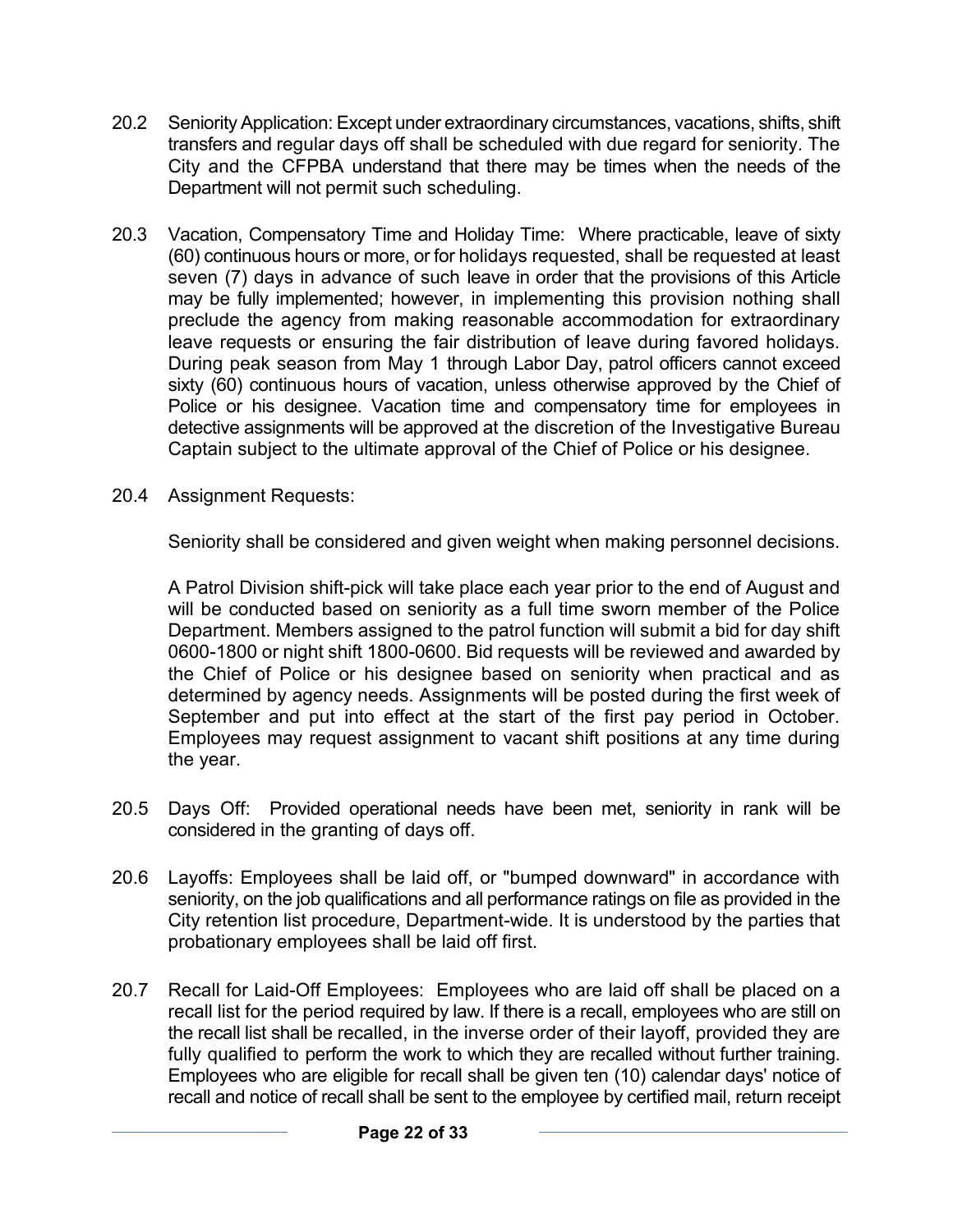- 20.2 Seniority Application: Except under extraordinary circumstances, vacations, shifts, shift transfers and regular days off shall be scheduled with due regard for seniority. The City and the CFPBA understand that there may be times when the needs of the Department will not permit such scheduling.
- 20.3 Vacation, Compensatory Time and Holiday Time: Where practicable, leave of sixty (60) continuous hours or more, or for holidays requested, shall be requested at least seven (7) days in advance of such leave in order that the provisions of this Article may be fully implemented; however, in implementing this provision nothing shall preclude the agency from making reasonable accommodation for extraordinary leave requests or ensuring the fair distribution of leave during favored holidays. During peak season from May 1 through Labor Day, patrol officers cannot exceed sixty (60) continuous hours of vacation, unless otherwise approved by the Chief of Police or his designee. Vacation time and compensatory time for employees in detective assignments will be approved at the discretion of the Investigative Bureau Captain subject to the ultimate approval of the Chief of Police or his designee.
- 20.4 Assignment Requests:

Seniority shall be considered and given weight when making personnel decisions.

A Patrol Division shift-pick will take place each year prior to the end of August and will be conducted based on seniority as a full time sworn member of the Police Department. Members assigned to the patrol function will submit a bid for day shift 0600-1800 or night shift 1800-0600. Bid requests will be reviewed and awarded by the Chief of Police or his designee based on seniority when practical and as determined by agency needs. Assignments will be posted during the first week of September and put into effect at the start of the first pay period in October. Employees may request assignment to vacant shift positions at any time during the year.

- 20.5 Days Off: Provided operational needs have been met, seniority in rank will be considered in the granting of days off.
- 20.6 Layoffs: Employees shall be laid off, or "bumped downward" in accordance with seniority, on the job qualifications and all performance ratings on file as provided in the City retention list procedure, Department-wide. It is understood by the parties that probationary employees shall be laid off first.
- 20.7 Recall for Laid-Off Employees: Employees who are laid off shall be placed on a recall list for the period required by law. If there is a recall, employees who are still on the recall list shall be recalled, in the inverse order of their layoff, provided they are fully qualified to perform the work to which they are recalled without further training. Employees who are eligible for recall shall be given ten (10) calendar days' notice of recall and notice of recall shall be sent to the employee by certified mail, return receipt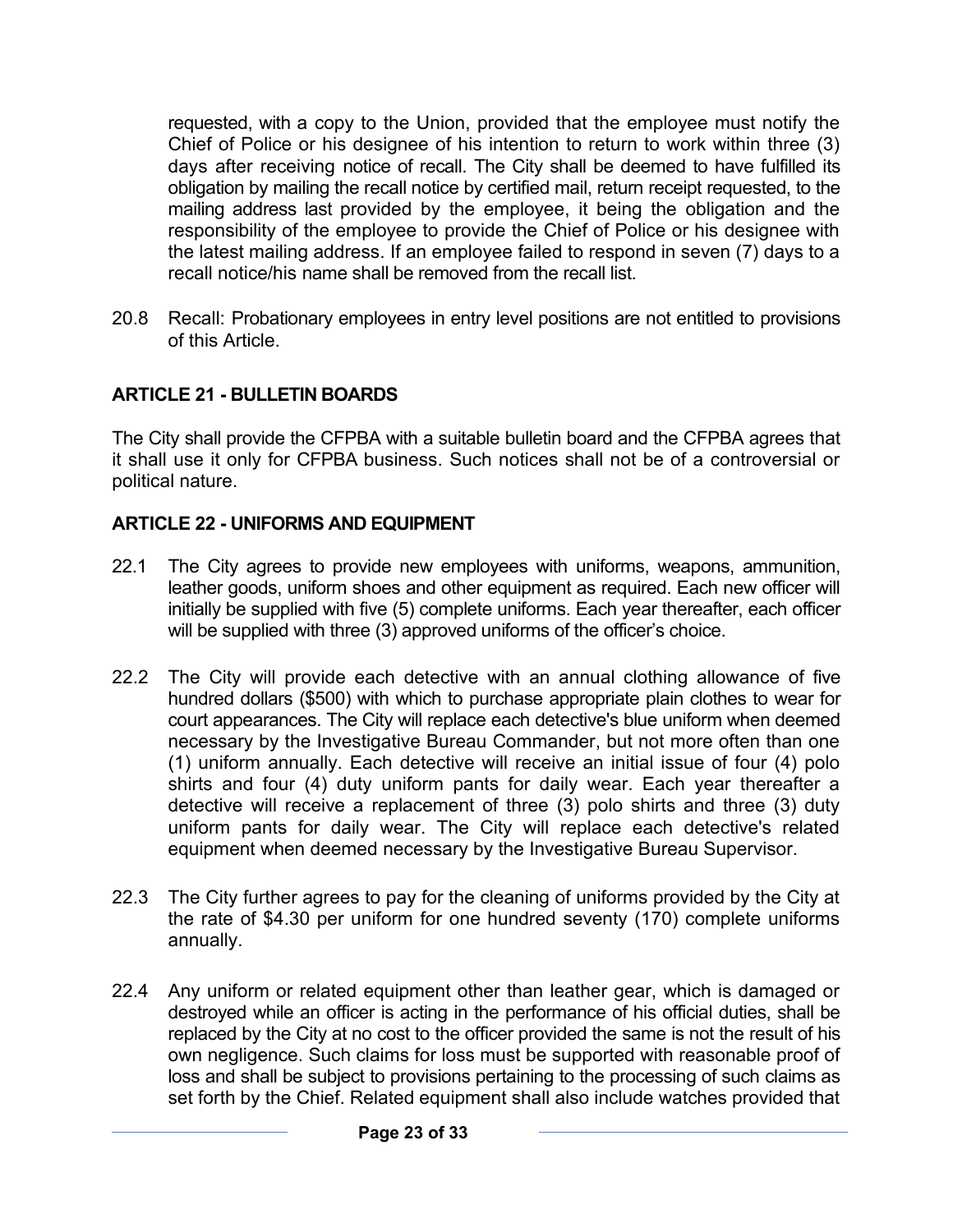requested, with a copy to the Union, provided that the employee must notify the Chief of Police or his designee of his intention to return to work within three (3) days after receiving notice of recall. The City shall be deemed to have fulfilled its obligation by mailing the recall notice by certified mail, return receipt requested, to the mailing address last provided by the employee, it being the obligation and the responsibility of the employee to provide the Chief of Police or his designee with the latest mailing address. If an employee failed to respond in seven (7) days to a recall notice/his name shall be removed from the recall list.

20.8 Recall: Probationary employees in entry level positions are not entitled to provisions of this Article.

### **ARTICLE 21 - BULLETIN BOARDS**

The City shall provide the CFPBA with a suitable bulletin board and the CFPBA agrees that it shall use it only for CFPBA business. Such notices shall not be of a controversial or political nature.

#### **ARTICLE 22 - UNIFORMS AND EQUIPMENT**

- 22.1 The City agrees to provide new employees with uniforms, weapons, ammunition, leather goods, uniform shoes and other equipment as required. Each new officer will initially be supplied with five (5) complete uniforms. Each year thereafter, each officer will be supplied with three (3) approved uniforms of the officer's choice.
- 22.2 The City will provide each detective with an annual clothing allowance of five hundred dollars (\$500) with which to purchase appropriate plain clothes to wear for court appearances. The City will replace each detective's blue uniform when deemed necessary by the Investigative Bureau Commander, but not more often than one (1) uniform annually. Each detective will receive an initial issue of four (4) polo shirts and four (4) duty uniform pants for daily wear. Each year thereafter a detective will receive a replacement of three (3) polo shirts and three (3) duty uniform pants for daily wear. The City will replace each detective's related equipment when deemed necessary by the Investigative Bureau Supervisor.
- 22.3 The City further agrees to pay for the cleaning of uniforms provided by the City at the rate of \$4.30 per uniform for one hundred seventy (170) complete uniforms annually.
- 22.4 Any uniform or related equipment other than leather gear, which is damaged or destroyed while an officer is acting in the performance of his official duties, shall be replaced by the City at no cost to the officer provided the same is not the result of his own negligence. Such claims for loss must be supported with reasonable proof of loss and shall be subject to provisions pertaining to the processing of such claims as set forth by the Chief. Related equipment shall also include watches provided that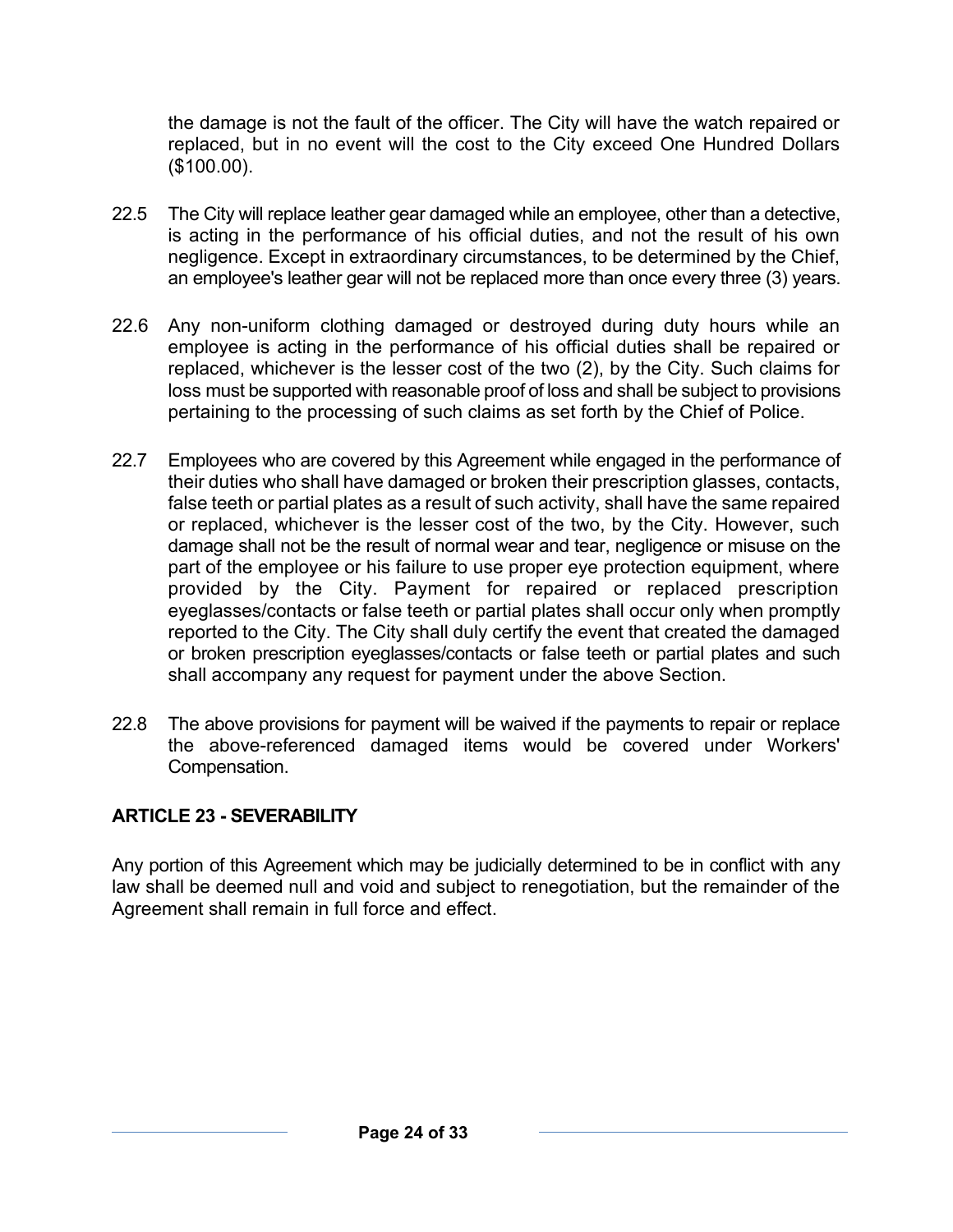the damage is not the fault of the officer. The City will have the watch repaired or replaced, but in no event will the cost to the City exceed One Hundred Dollars (\$100.00).

- 22.5 The City will replace leather gear damaged while an employee, other than a detective, is acting in the performance of his official duties, and not the result of his own negligence. Except in extraordinary circumstances, to be determined by the Chief, an employee's leather gear will not be replaced more than once every three (3) years.
- 22.6 Any non-uniform clothing damaged or destroyed during duty hours while an employee is acting in the performance of his official duties shall be repaired or replaced, whichever is the lesser cost of the two (2), by the City. Such claims for loss must be supported with reasonable proof of loss and shall be subject to provisions pertaining to the processing of such claims as set forth by the Chief of Police.
- 22.7 Employees who are covered by this Agreement while engaged in the performance of their duties who shall have damaged or broken their prescription glasses, contacts, false teeth or partial plates as a result of such activity, shall have the same repaired or replaced, whichever is the lesser cost of the two, by the City. However, such damage shall not be the result of normal wear and tear, negligence or misuse on the part of the employee or his failure to use proper eye protection equipment, where provided by the City. Payment for repaired or replaced prescription eyeglasses/contacts or false teeth or partial plates shall occur only when promptly reported to the City. The City shall duly certify the event that created the damaged or broken prescription eyeglasses/contacts or false teeth or partial plates and such shall accompany any request for payment under the above Section.
- 22.8 The above provisions for payment will be waived if the payments to repair or replace the above-referenced damaged items would be covered under Workers' Compensation.

### **ARTICLE 23 - SEVERABILITY**

Any portion of this Agreement which may be judicially determined to be in conflict with any law shall be deemed null and void and subject to renegotiation, but the remainder of the Agreement shall remain in full force and effect.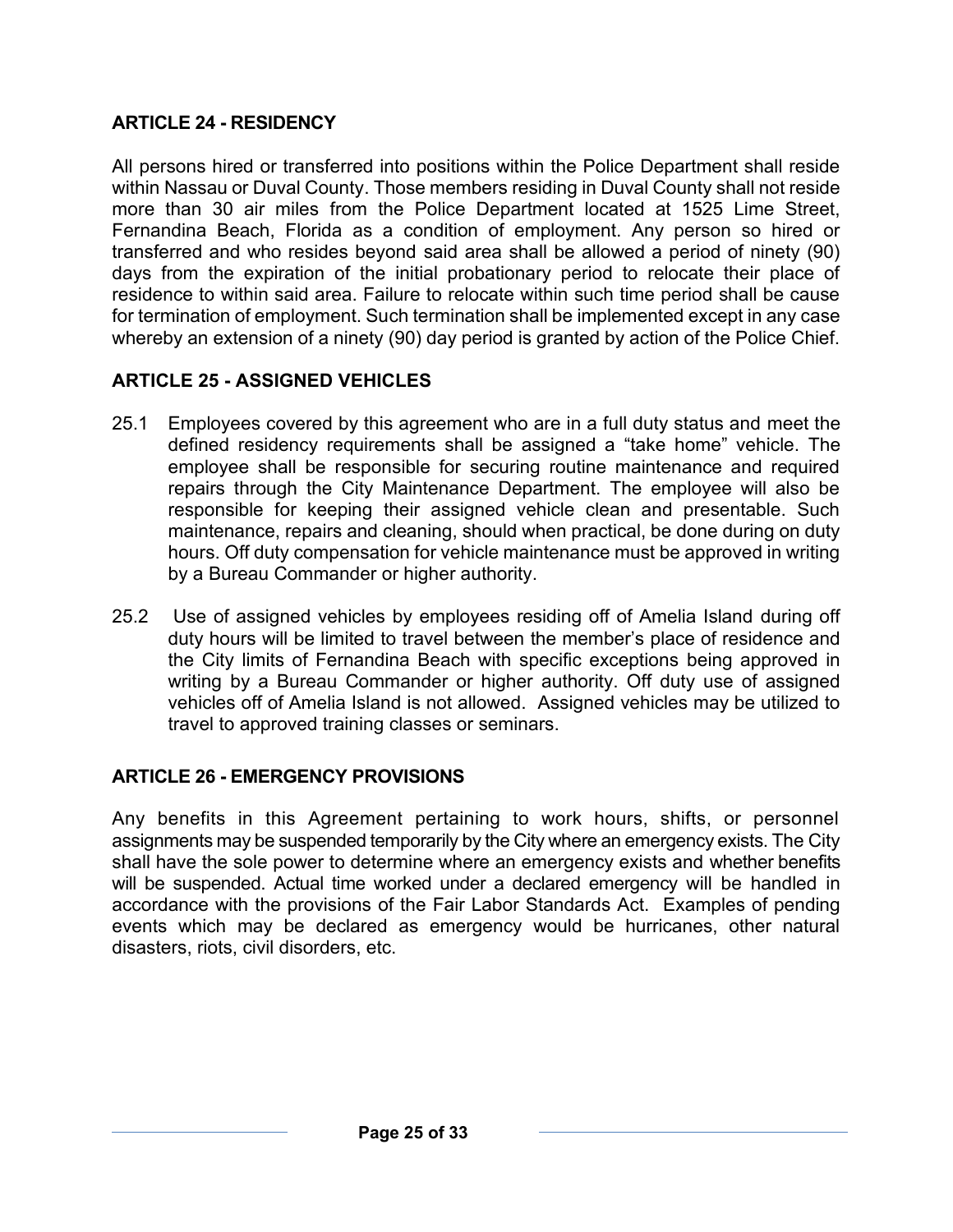## **ARTICLE 24 - RESIDENCY**

All persons hired or transferred into positions within the Police Department shall reside within Nassau or Duval County. Those members residing in Duval County shall not reside more than 30 air miles from the Police Department located at 1525 Lime Street, Fernandina Beach, Florida as a condition of employment. Any person so hired or transferred and who resides beyond said area shall be allowed a period of ninety (90) days from the expiration of the initial probationary period to relocate their place of residence to within said area. Failure to relocate within such time period shall be cause for termination of employment. Such termination shall be implemented except in any case whereby an extension of a ninety (90) day period is granted by action of the Police Chief.

## **ARTICLE 25 - ASSIGNED VEHICLES**

- 25.1 Employees covered by this agreement who are in a full duty status and meet the defined residency requirements shall be assigned a "take home" vehicle. The employee shall be responsible for securing routine maintenance and required repairs through the City Maintenance Department. The employee will also be responsible for keeping their assigned vehicle clean and presentable. Such maintenance, repairs and cleaning, should when practical, be done during on duty hours. Off duty compensation for vehicle maintenance must be approved in writing by a Bureau Commander or higher authority.
- 25.2 Use of assigned vehicles by employees residing off of Amelia Island during off duty hours will be limited to travel between the member's place of residence and the City limits of Fernandina Beach with specific exceptions being approved in writing by a Bureau Commander or higher authority. Off duty use of assigned vehicles off of Amelia Island is not allowed. Assigned vehicles may be utilized to travel to approved training classes or seminars.

### **ARTICLE 26 - EMERGENCY PROVISIONS**

Any benefits in this Agreement pertaining to work hours, shifts, or personnel assignments may be suspended temporarily by the City where an emergency exists. The City shall have the sole power to determine where an emergency exists and whether benefits will be suspended. Actual time worked under a declared emergency will be handled in accordance with the provisions of the Fair Labor Standards Act. Examples of pending events which may be declared as emergency would be hurricanes, other natural disasters, riots, civil disorders, etc.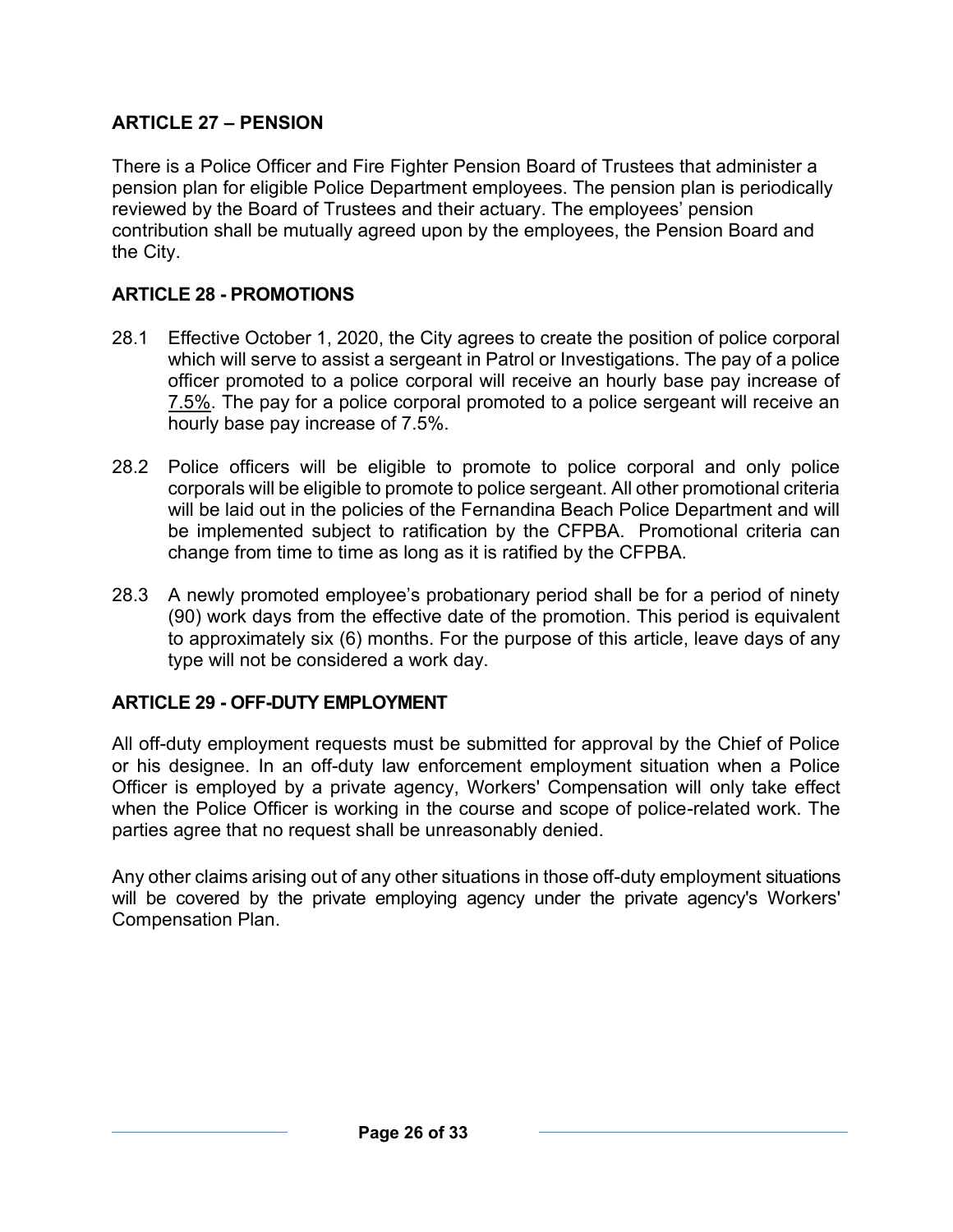## **ARTICLE 27 – PENSION**

There is a Police Officer and Fire Fighter Pension Board of Trustees that administer a pension plan for eligible Police Department employees. The pension plan is periodically reviewed by the Board of Trustees and their actuary. The employees' pension contribution shall be mutually agreed upon by the employees, the Pension Board and the City.

## **ARTICLE 28 - PROMOTIONS**

- 28.1 Effective October 1, 2020, the City agrees to create the position of police corporal which will serve to assist a sergeant in Patrol or Investigations. The pay of a police officer promoted to a police corporal will receive an hourly base pay increase of 7.5%. The pay for a police corporal promoted to a police sergeant will receive an hourly base pay increase of 7.5%.
- 28.2 Police officers will be eligible to promote to police corporal and only police corporals will be eligible to promote to police sergeant. All other promotional criteria will be laid out in the policies of the Fernandina Beach Police Department and will be implemented subject to ratification by the CFPBA. Promotional criteria can change from time to time as long as it is ratified by the CFPBA.
- 28.3 A newly promoted employee's probationary period shall be for a period of ninety (90) work days from the effective date of the promotion. This period is equivalent to approximately six (6) months. For the purpose of this article, leave days of any type will not be considered a work day.

### **ARTICLE 29 - OFF-DUTY EMPLOYMENT**

All off-duty employment requests must be submitted for approval by the Chief of Police or his designee. In an off-duty law enforcement employment situation when a Police Officer is employed by a private agency, Workers' Compensation will only take effect when the Police Officer is working in the course and scope of police-related work. The parties agree that no request shall be unreasonably denied.

Any other claims arising out of any other situations in those off-duty employment situations will be covered by the private employing agency under the private agency's Workers' Compensation Plan.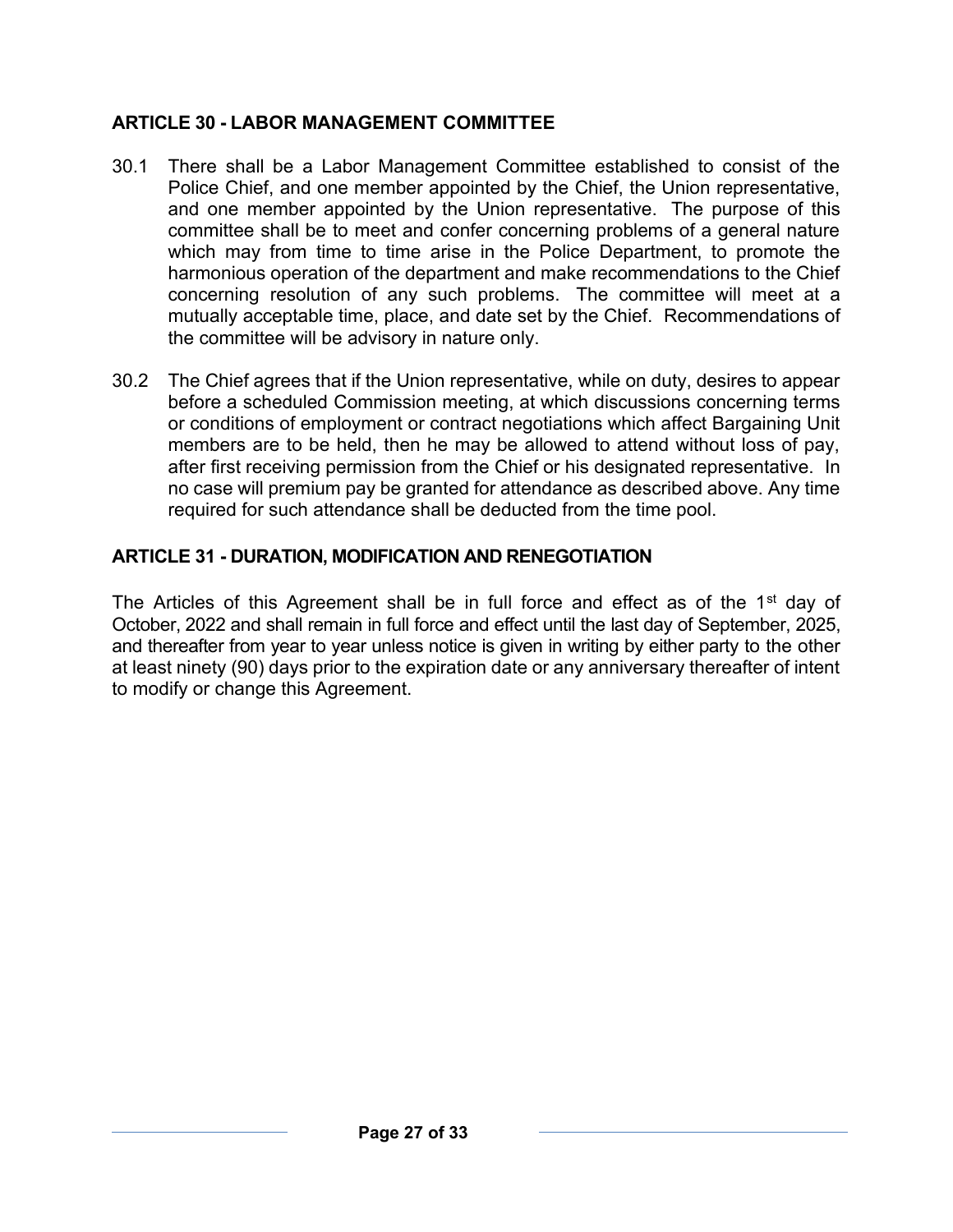#### **ARTICLE 30 - LABOR MANAGEMENT COMMITTEE**

- 30.1 There shall be a Labor Management Committee established to consist of the Police Chief, and one member appointed by the Chief, the Union representative, and one member appointed by the Union representative. The purpose of this committee shall be to meet and confer concerning problems of a general nature which may from time to time arise in the Police Department, to promote the harmonious operation of the department and make recommendations to the Chief concerning resolution of any such problems. The committee will meet at a mutually acceptable time, place, and date set by the Chief. Recommendations of the committee will be advisory in nature only.
- 30.2 The Chief agrees that if the Union representative, while on duty, desires to appear before a scheduled Commission meeting, at which discussions concerning terms or conditions of employment or contract negotiations which affect Bargaining Unit members are to be held, then he may be allowed to attend without loss of pay, after first receiving permission from the Chief or his designated representative. In no case will premium pay be granted for attendance as described above. Any time required for such attendance shall be deducted from the time pool.

#### **ARTICLE 31 - DURATION, MODIFICATION AND RENEGOTIATION**

The Articles of this Agreement shall be in full force and effect as of the 1<sup>st</sup> day of October, 2022 and shall remain in full force and effect until the last day of September, 2025, and thereafter from year to year unless notice is given in writing by either party to the other at least ninety (90) days prior to the expiration date or any anniversary thereafter of intent to modify or change this Agreement.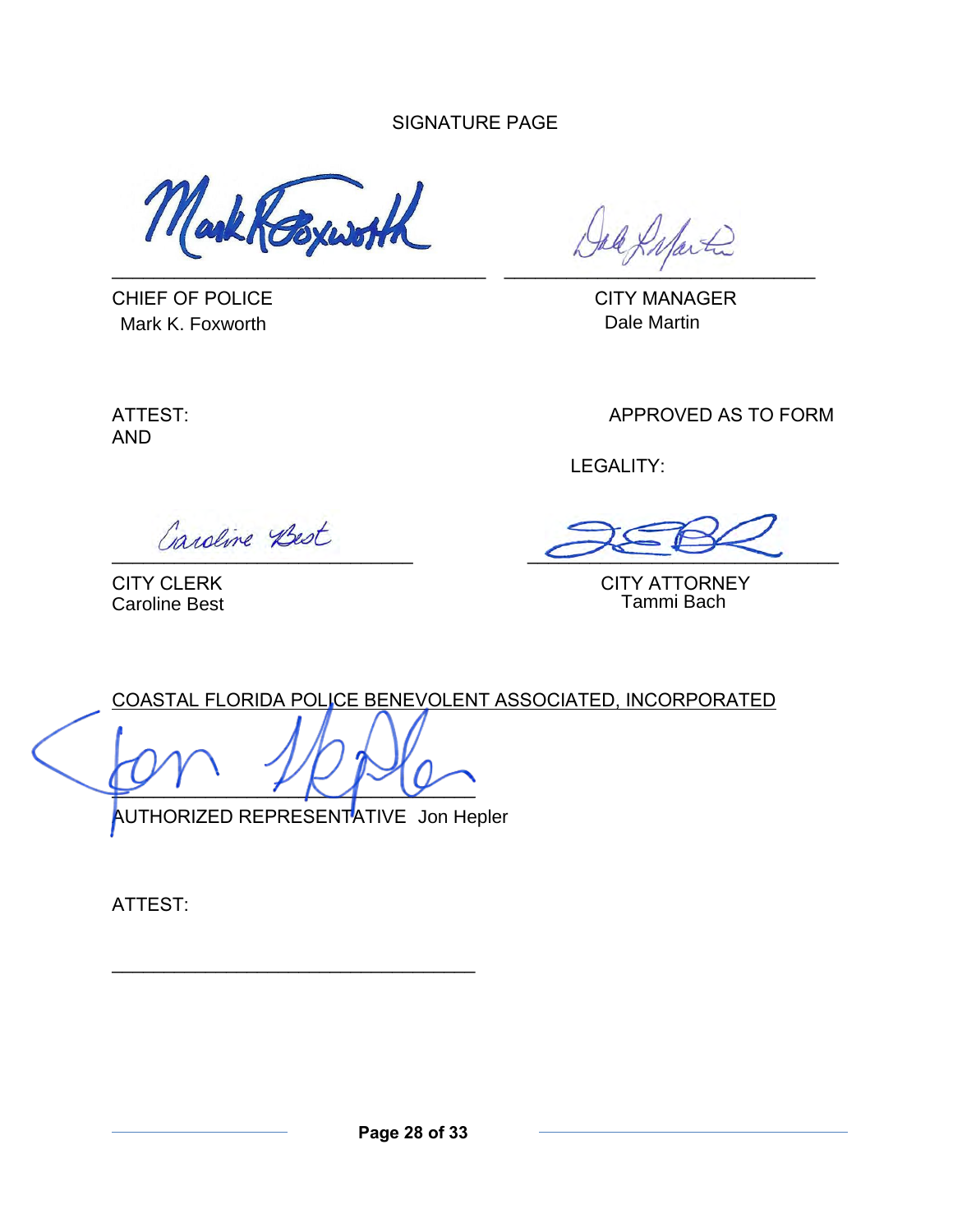SIGNATURE PAGE

Markhospioth

CHIEF OF POLICE CHIEF OF POLICE Mark K. Foxworth **Dale Martin** Dale Martin

 $\blacksquare$ 

AND

ATTEST: APPROVED AS TO FORM

LEGALITY:

Caroline Best

 $\sim$   $\sim$   $\sim$ 

CITY CLERK CITY ATTORNEY<br>Caroline Best Caroline Best Caroline Bach

COASTAL FLORIDA POLICE BENEVOLENT ASSOCIATED, INCORPORATED

 $\overline{\mathcal{L}}$  ,  $\overline{\mathcal{L}}$  ,  $\overline{\mathcal{L}}$ 

\_\_\_\_\_\_\_\_\_\_\_\_\_\_\_\_\_\_\_\_\_\_\_\_\_\_\_\_\_\_\_\_\_\_\_

AUTHORIZED REPRESENTATIVE Jon Hepler

ATTEST: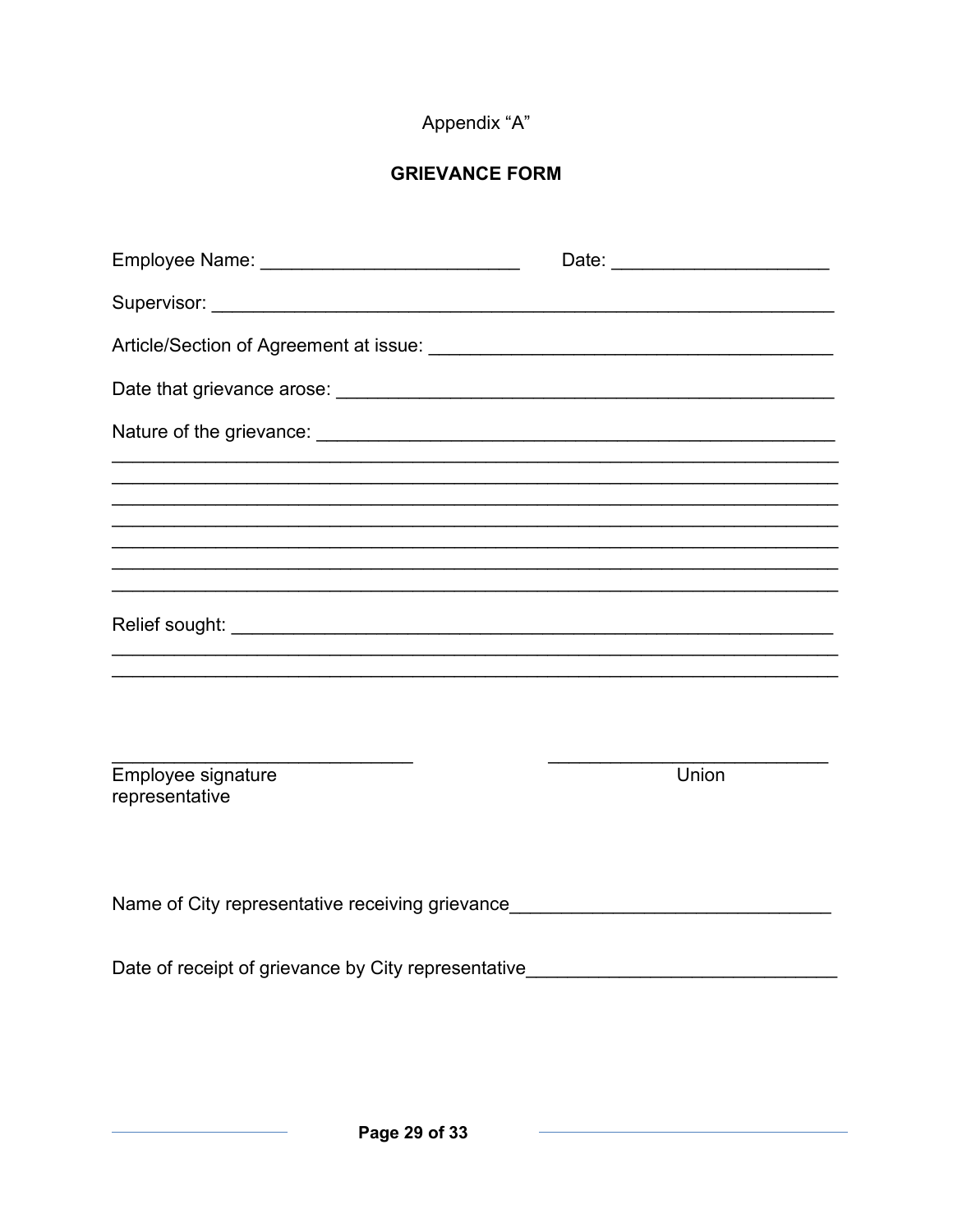# Appendix "A"

# **GRIEVANCE FORM**

| Employee Name: _________________________________                                 | Date: |
|----------------------------------------------------------------------------------|-------|
|                                                                                  |       |
|                                                                                  |       |
|                                                                                  |       |
|                                                                                  |       |
|                                                                                  |       |
|                                                                                  |       |
|                                                                                  |       |
| Employee signature<br>representative                                             | Union |
| Name of City representative receiving grievance_________________________________ |       |
| Date of receipt of grievance by City representative_____________________________ |       |
|                                                                                  |       |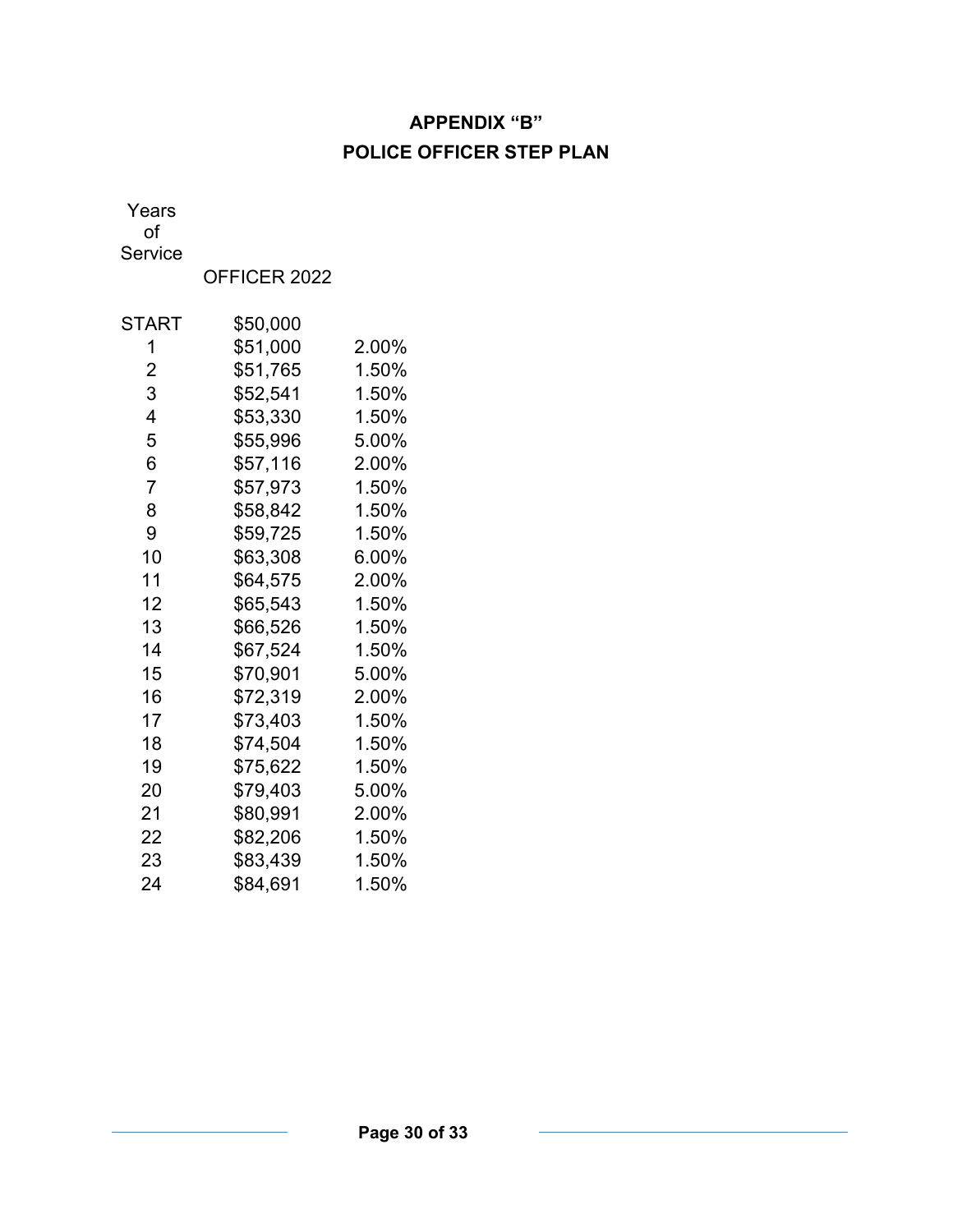# **APPENDIX "B" POLICE OFFICER STEP PLAN**

Years

of

Service

OFFICER 2022

| START | \$50,000 |       |
|-------|----------|-------|
| 1     | \$51,000 | 2.00% |
| 2     | \$51,765 | 1.50% |
| 3     | \$52,541 | 1.50% |
| 4     | \$53,330 | 1.50% |
| 5     | \$55,996 | 5.00% |
| 6     | \$57,116 | 2.00% |
| 7     | \$57,973 | 1.50% |
| 8     | \$58,842 | 1.50% |
| 9     | \$59,725 | 1.50% |
| 10    | \$63,308 | 6.00% |
| 11    | \$64,575 | 2.00% |
| 12    | \$65,543 | 1.50% |
| 13    | \$66,526 | 1.50% |
| 14    | \$67,524 | 1.50% |
| 15    | \$70,901 | 5.00% |
| 16    | \$72,319 | 2.00% |
| 17    | \$73,403 | 1.50% |
| 18    | \$74,504 | 1.50% |
| 19    | \$75,622 | 1.50% |
| 20    | \$79,403 | 5.00% |
| 21    | \$80,991 | 2.00% |
| 22    | \$82,206 | 1.50% |
| 23    | \$83,439 | 1.50% |
| 24    | \$84,691 | 1.50% |
|       |          |       |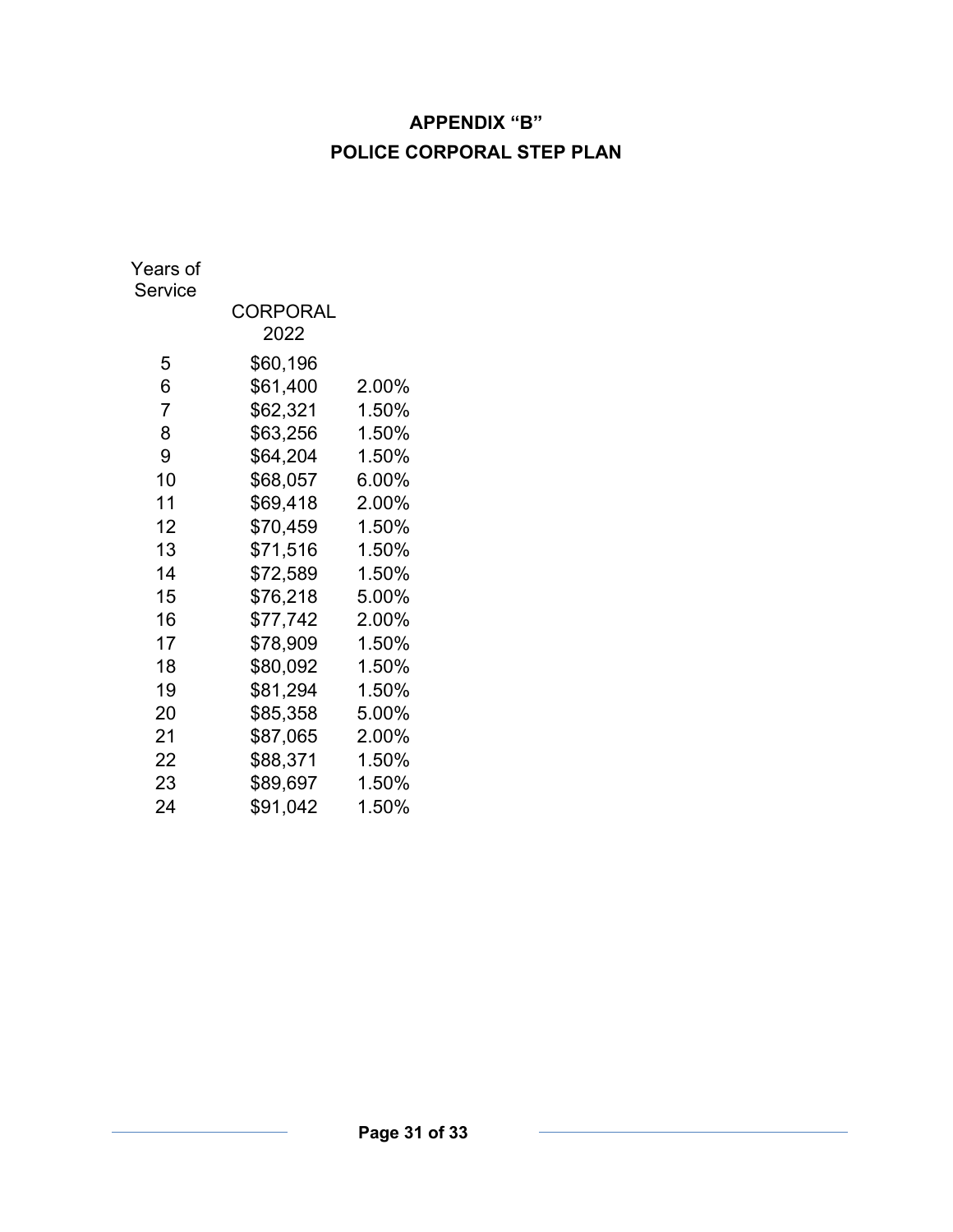# **APPENDIX "B" POLICE CORPORAL STEP PLAN**

| Years of<br>Service |                  |       |
|---------------------|------------------|-------|
|                     | CORPORAL<br>2022 |       |
| 5                   | \$60,196         |       |
| 6                   | \$61,400         | 2.00% |
| $\overline{7}$      | \$62,321         | 1.50% |
| 8                   | \$63,256         | 1.50% |
| 9                   | \$64,204         | 1.50% |
| 10                  | \$68,057         | 6.00% |
| 11                  | \$69,418         | 2.00% |
| 12                  | \$70,459         | 1.50% |
| 13                  | \$71,516         | 1.50% |
| 14                  | \$72,589         | 1.50% |
| 15                  | \$76,218         | 5.00% |
| 16                  | \$77,742         | 2.00% |
| 17                  | \$78,909         | 1.50% |
| 18                  | \$80,092         | 1.50% |
| 19                  | \$81,294         | 1.50% |
| 20                  | \$85,358         | 5.00% |
| 21                  | \$87,065         | 2.00% |
| 22                  | \$88,371         | 1.50% |
| 23                  | \$89,697         | 1.50% |
| 24                  | \$91,042         | 1.50% |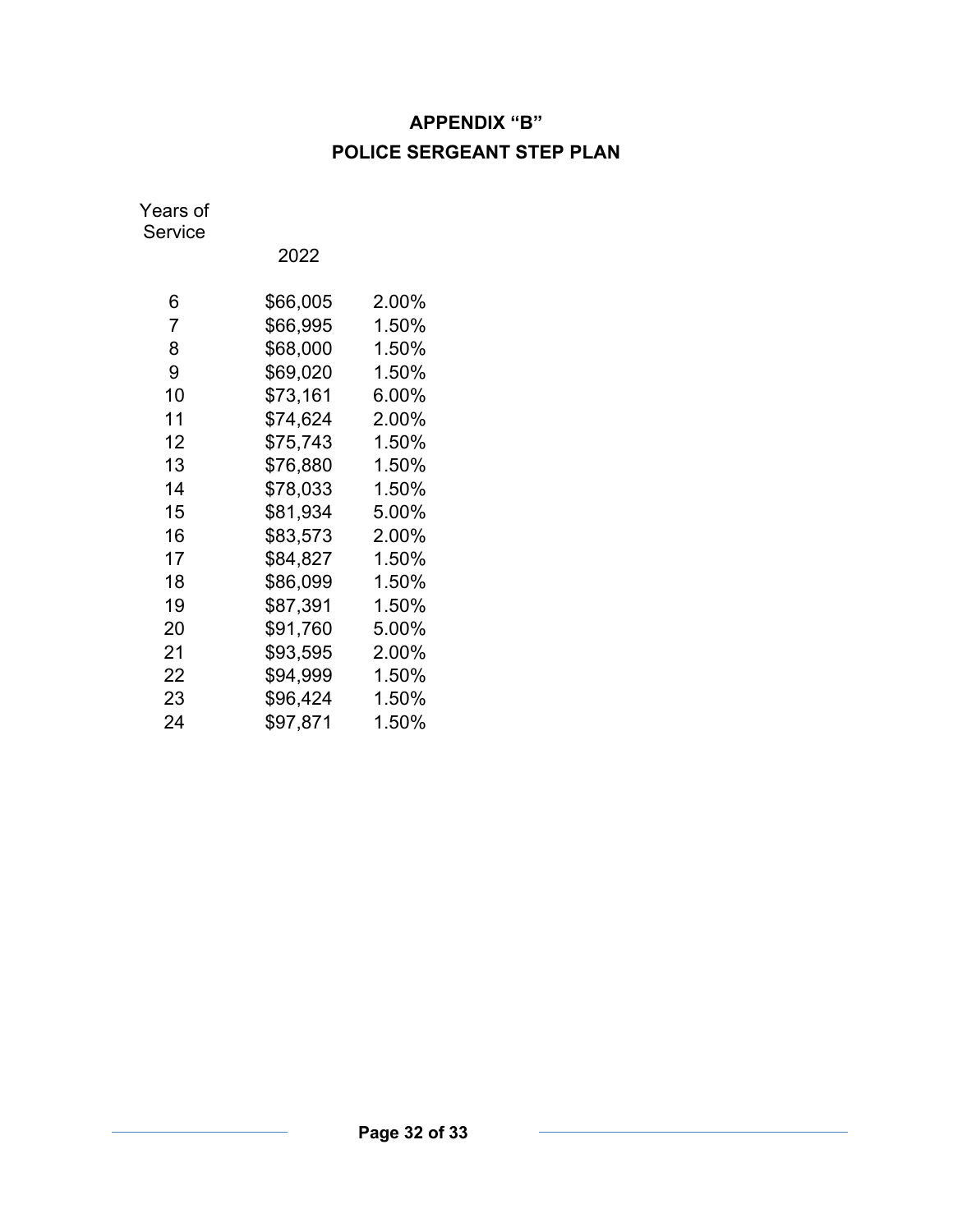# **APPENDIX "B" POLICE SERGEANT STEP PLAN**

Years of Service

| 6  | \$66,005 | $2.00\%$ |
|----|----------|----------|
| 7  | \$66,995 | 1.50%    |
| 8  | \$68,000 | 1.50%    |
| 9  | \$69,020 | 1.50%    |
| 10 | \$73,161 | 6.00%    |
| 11 | \$74,624 | 2.00%    |
| 12 | \$75,743 | 1.50%    |
| 13 | \$76,880 | 1.50%    |
| 14 | \$78,033 | 1.50%    |
| 15 | \$81,934 | 5.00%    |
| 16 | \$83.573 | 2.00%    |
| 17 | \$84,827 | 1.50%    |
| 18 | \$86,099 | 1.50%    |
| 19 | \$87,391 | 1.50%    |
| 20 | \$91,760 | 5.00%    |
| 21 | \$93,595 | 2.00%    |
| 22 | \$94,999 | 1.50%    |
| 23 | \$96,424 | 1.50%    |
| 24 | \$97,871 | 1.50%    |